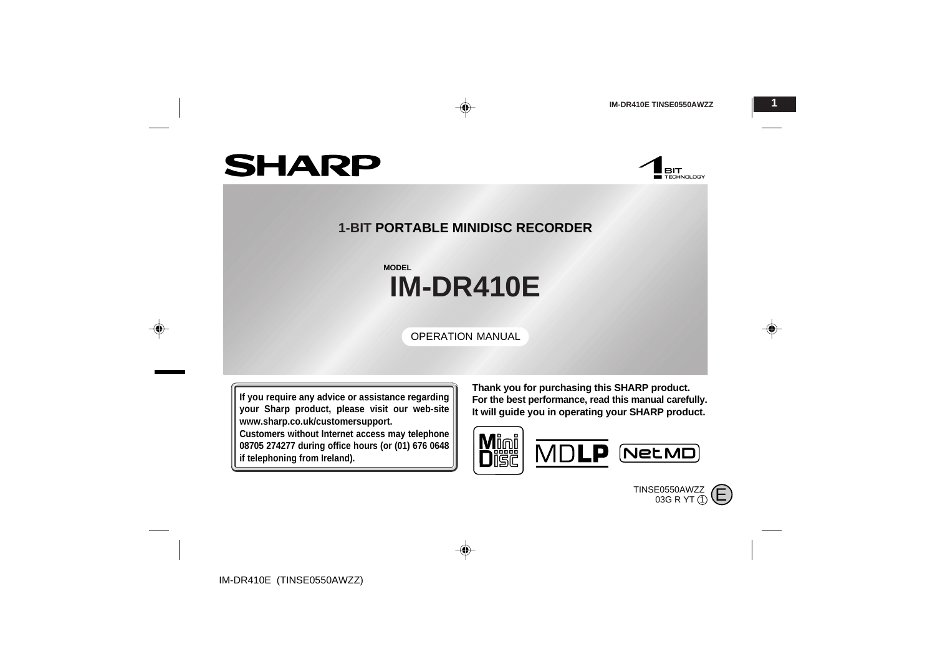**BIT**<br>Exploration

# **SHARP**

◈

## **1-BIT PORTABLE MINIDISC RECORDER**

◈

# **IM-DR410E MODEL**

OPERATION MANUAL

**If you require any advice or assistance regarding your Sharp product, please visit our web-site www.sharp.co.uk/customersupport.**

**Customers without Internet access may telephone 08705 274277 during office hours (or (01) 676 0648 if telephoning from Ireland).**

**Thank you for purchasing this SHARP product. For the best performance, read this manual carefully. It will guide you in operating your SHARP product.**



TINSE0550AWZZ<br>03G R YT ① C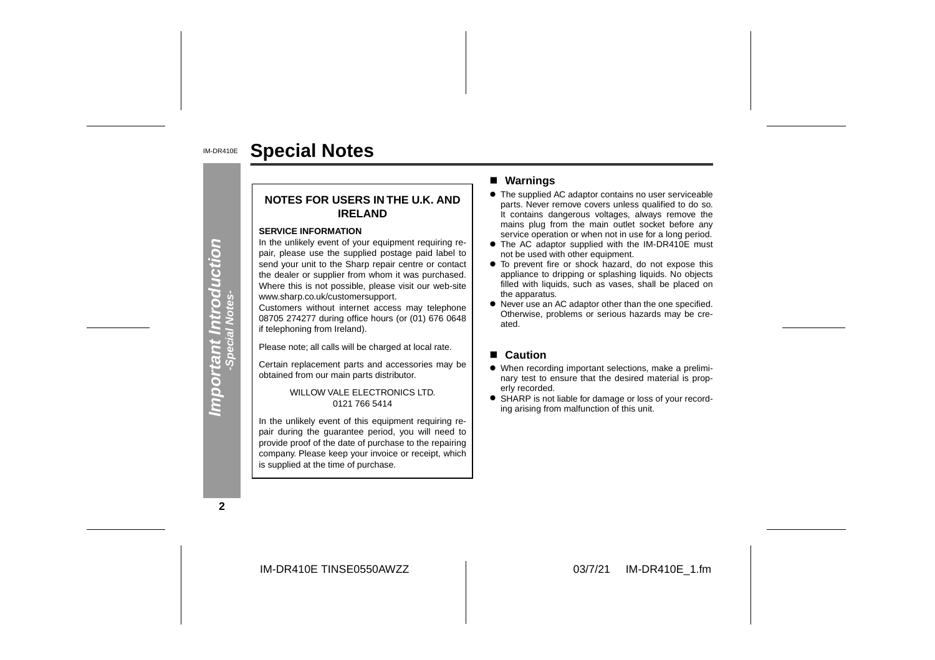#### IM-DR410E**Special Notes**

## **NOTES FOR USERS IN THE U.K. ANDIRELAND**

#### **SERVICE INFORMATION**

In the unlikely event of your equipment requiring repair, please use the supplied postage paid label to send your unit to the Sharp repair centre or contact the dealer or supplier from whom it was purchased. Where this is not possible, please visit our web-site www.sharp.co.uk/customersupport.

Customers without internet access may telephone 08705 274277 during office hours (or (01) 676 0648 if telephoning from Ireland).

Please note; all calls will be charged at local rate.

Certain replacement parts and accessories may be obtained from our main parts distributor.

> WILLOW VALE ELECTRONICS LTD. 0121 766 5414

In the unlikely event of this equipment requiring repair during the guarantee period, you will need to provide proof of the date of purchase to the repairing company. Please keep your invoice or receipt, which is supplied at the time of purchase.

#### ■ Warnings

- The supplied AC adaptor contains no user serviceable parts. Never remove covers unless qualified to do so. It contains dangerous voltages, always remove the mains plug from the main outlet socket before any service operation or when not in use for a long period.
- The AC adaptor supplied with the IM-DR410E must not be used with other equipment.
- To prevent fire or shock hazard, do not expose this appliance to dripping or splashing liquids. No objects filled with liquids, such as vases, shall be placed on the apparatus.
- Never use an AC adaptor other than the one specified. Otherwise, problems or serious hazards may be cre ated.

#### ■ **Caution**

- When recording important selections, make a preliminary test to ensure that the desired material is properly recorded.
- SHARP is not liable for damage or loss of your recording arising from malfunction of this unit.

**2**

**Important Introduction -Special Notes-**

Important Introduction<br>- Special Notes-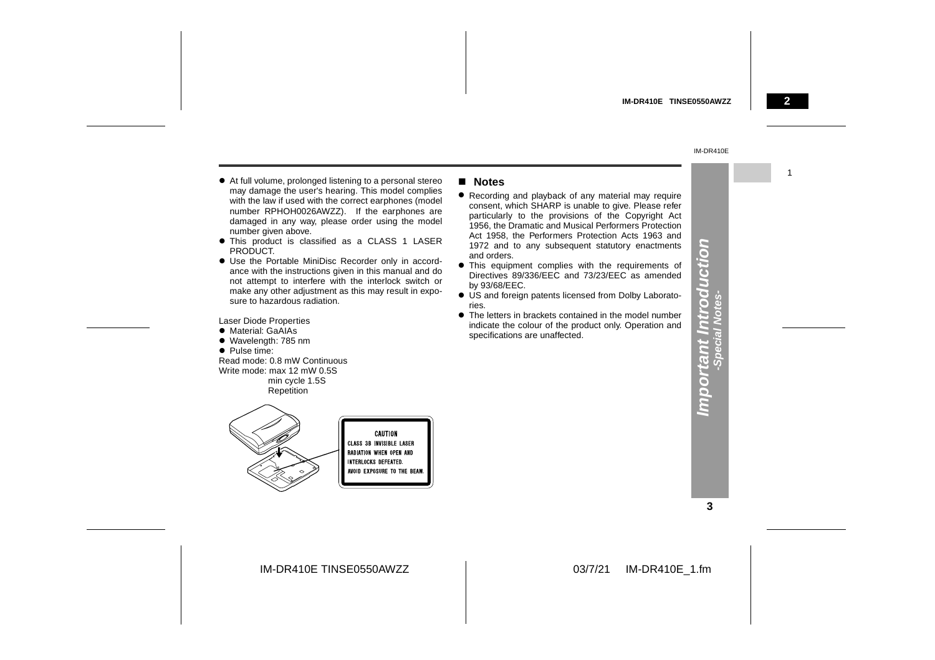1

#### IM-DR410E

- " At full volume, prolonged listening to a personal stereo may damage the user's hearing. This model complies with the law if used with the correct earphones (model number RPHOH0026AWZZ). If the earphones are damaged in any way, please order using the model number given above.
- This product is classified as a CLASS 1 LASER PRODUCT.
- Use the Portable MiniDisc Recorder only in accordance with the instructions given in this manual and do not attempt to interfere with the interlock switch or make any other adjustment as this may result in exposure to hazardous radiation.

Laser Diode Properties

- Material: GaAIAs
- Wavelength: 785 nm
- Pulse time:

Read mode: 0.8 mW ContinuousWrite mode: max 12 mW 0.5S min cycle 1.5S Repetition



#### ! **Notes**

- Recording and playback of any material may require consent, which SHARP is unable to give. Please refer particularly to the provisions of the Copyright Act 1956, the Dramatic and Musical Performers Protection Act 1958, the Performers Protection Acts 1963 and 1972 and to any subsequent statutory enactments and orders.
- **•** This equipment complies with the requirements of Directives 89/336/EEC and 73/23/EEC as amended by 93/68/EEC.
- US and foreign patents licensed from Dolby Laboratories.
- $\bullet$  The letters in brackets contained in the model number indicate the colour of the product only. Operation and specifications are unaffected.

**3**

**Important Introduction -Special Notes-**

Important Introd<br>-special Notes-

S

UCti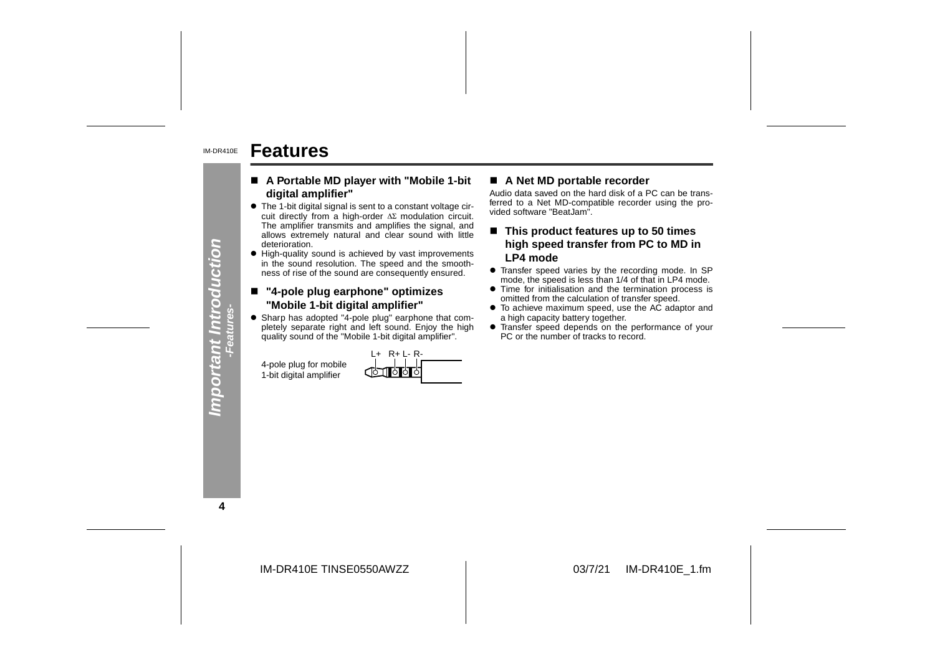#### IM-DR410E**Features**

- ! **A Portable MD player with "Mobile 1-bit digital amplifier"**
- $\bullet\,$  The 1-bit digital signal is sent to a constant voltage circuit directly from a high-order  $\Delta \Sigma$  modulation circuit. The amplifier transmits and amplifies the signal, and allows extremely natural and clear sound with little deterioration. **A Portable MD player with "Mobile 1-bit**  $\blacksquare$  A Net MD portable recorder<br>
The 1-bit digital amplifier"<br>
Audio data saved on the hard disk of a PC can be trans-<br>
cuit directly from a high-order  $\Delta\Sigma$  modulation circuit
- High-quality sound is achieved by vast improvements in the sound resolution. The speed and the smoothness of rise of the sound are consequently ensured.

### ■ "4-pole plug earphone" optimizes "Mobile 1-bit digital amplifier"

• Sharp has adopted "4-pole plug" earphone that completely separate right and left sound. Enjoy the high quality sound of the "Mobile 1-bit digital amplifier".

|          | $R + 1 - R -$<br>$+$   |
|----------|------------------------|
| r mobile | <b>COLLEGE CONTROL</b> |
| nplifier |                        |

- 
- 
- 
- 
- 

**4**

IM-DR410E TINSE0550AWZZ

**-Features-**4-pole plug fo 1-bit digital an

**Important Introduction**

Important Introduction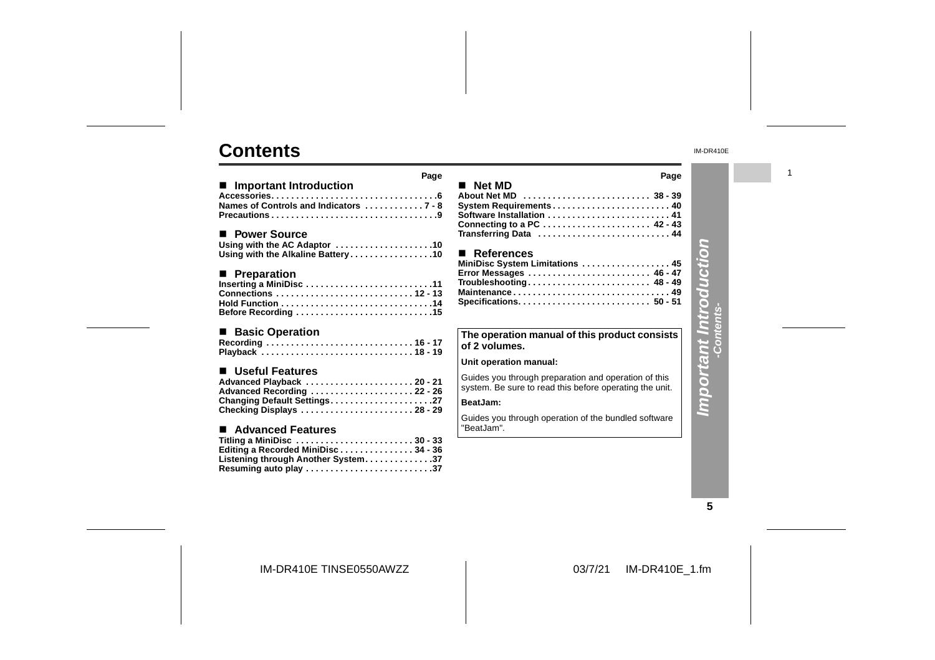## **Contents**

|                                                                                                                                            | Page |
|--------------------------------------------------------------------------------------------------------------------------------------------|------|
| ■ Important Introduction<br>Names of Controls and Indicators  7 - 8                                                                        |      |
| ■ Power Source<br>Using with the AC Adaptor 10<br>Using with the Alkaline Battery10                                                        |      |
| ■ Preparation<br>Inserting a MiniDisc 11<br>Connections  12 - 13<br>Before Recording 15                                                    |      |
| $\blacksquare$<br><b>Basic Operation</b><br>Recording  16 - 17<br>Playback  18 - 19                                                        |      |
| ■ Useful Features<br>Advanced Playback  20 - 21<br>Advanced Recording 22 - 26<br>Changing Default Settings27<br>Checking Displays  28 - 29 |      |
| ■ Advanced Features<br>Titling a MiniDisc 30 - 33<br>Editing a Recorded MiniDisc34 - 36<br>Listening through Another System37              |      |

| ■ Net MD                                                                                     | Page |
|----------------------------------------------------------------------------------------------|------|
| About Net MD  38 - 39<br>Transferring Data  44                                               |      |
| ■ References<br>MiniDisc System Limitations  45<br>Error Messages  46 - 47<br>Maintenance 49 |      |
| The operation manual of this product consists<br>of 2 volumes.                               |      |

#### **Unit operation manual:**

Guides you through preparation and operation of this system. Be sure to read this before operating the unit.

## **BeatJam:**

Guides you through operation of the bundled software "BeatJam".

IM-DR410E

1

# **Important Introduction Important Introduction -Contents-**

**5**

IM-DR410E TINSE0550AWZZ

**Resuming auto play . . . . . . . . . . . . . . . . . . . . . . . . . .37**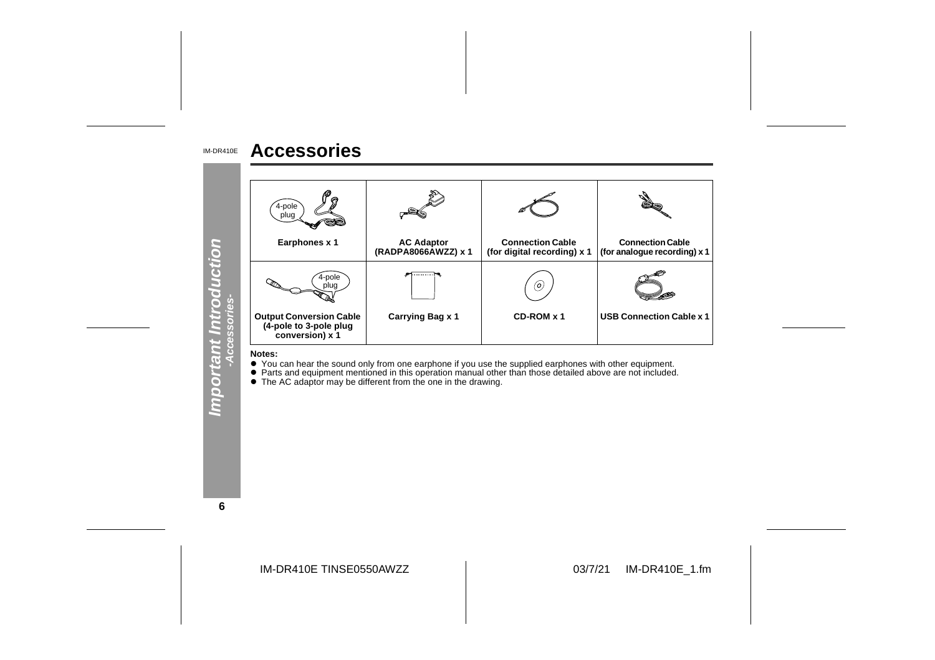#### IM-DR410E**Accessories**



● You can hear the sound only from one earphone if you use the supplied earphones with other equipment.<br>● Parts and equipment mentioned in this operation manual other than those detailed above are not included.<br>● The AC a

**6**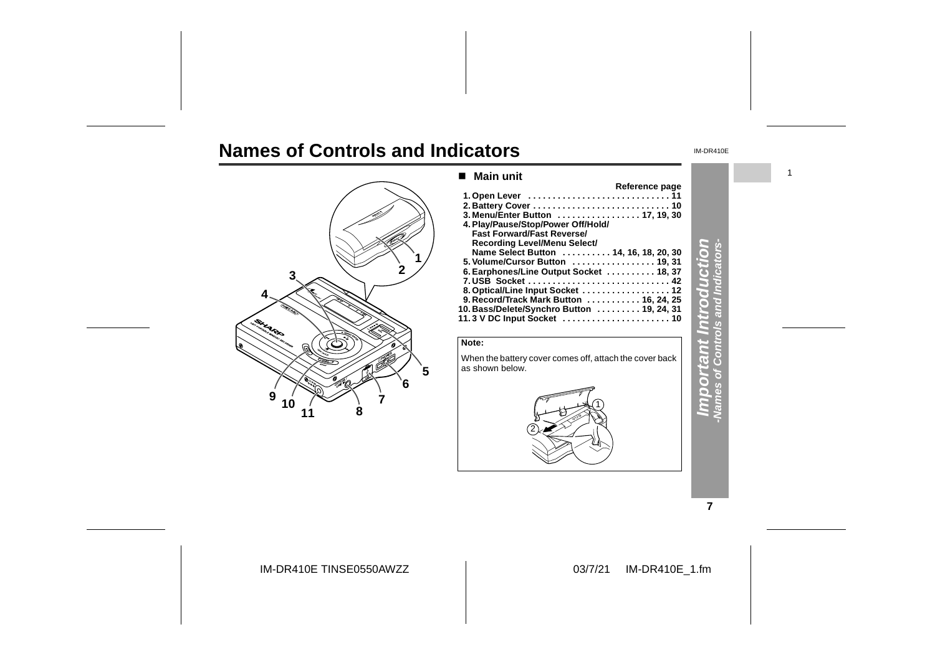# **Names of Controls and Indicators**



#### ■ Main unit **Reference page 1. Open Lever . . . . . . . . . . . . . . . . . . . . . . . . . . . . . 11 2. Battery Cover . . . . . . . . . . . . . . . . . . . . . . . . . . . . 10 3. Menu/Enter Button . . . . . . . . . . . . . . . . . 17, 19, 30** Fast Forward/Fast Reverse/<br>Recording Level/Menu Select/<br>Name Select Button . . . . . . . . . . . 14, 16, 18, 20, 30 **5. Volume/Cursor Button . . . . . . . . . . . . . . . . . 19, 31 6. Earphones/Line Output Socket . . . . . . . . . . 18, 37 7. USB Socket . . . . . . . . . . . . . . . . . . . . . . . . . . . . . 42 8. Optical/Line Input Socket . . . . . . . . . . . . . . . . . . 12 9. Record/Track Mark Button . . . . . . . . . . . 16, 24, 25 10. Bass/Delete/Synchro Button . . . . . . . . . 19, 24, 31 11. 3 V DC Input Socket . . . . . . . . . . . . . . . . . . . . . . 10**



#### IM-DR410E

1

**Important Introduction -Names of Controls and Indicators**d F  $\overline{\omega}$  $\circ$ Q. Ğ G

**7**

IM-DR410E TINSE0550AWZZ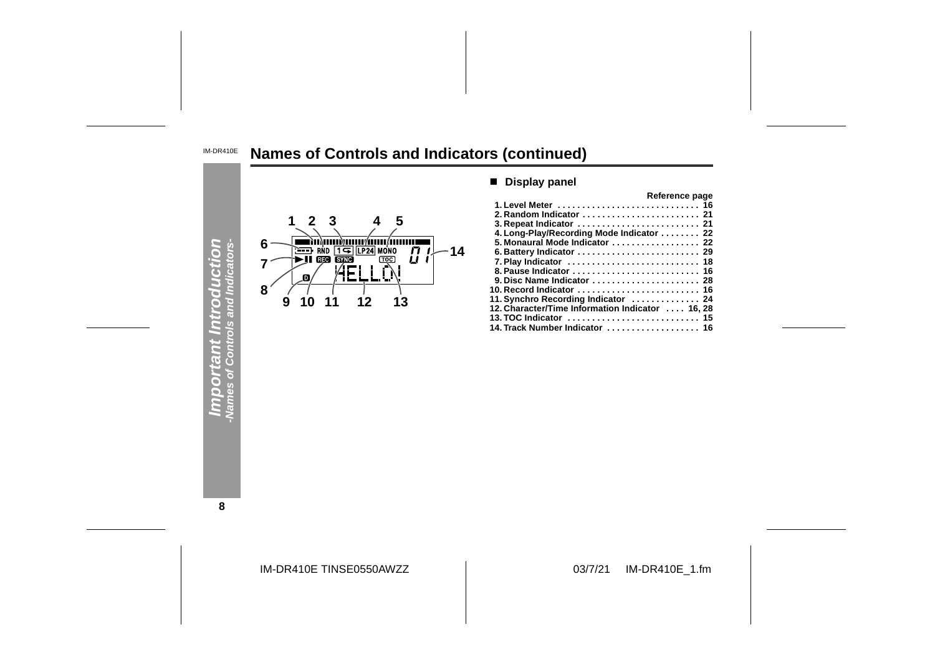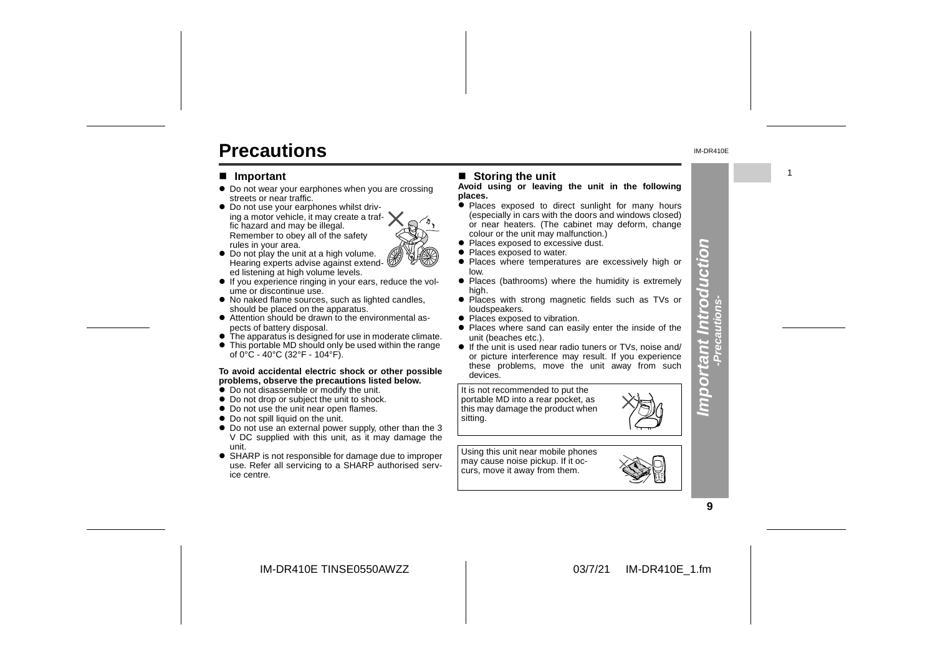# **Precautions**

#### ■ **Important**

- Do not wear your earphones when you are crossing streets or near traffic.
- $\bullet$  Do not use your earphones whilst driving a motor vehicle, it may create a traffic hazard and may be illegal. Remember to obey all of the safety rules in your area.
- Do not play the unit at a high volume. Hearing experts advise against extended listening at high volume levels.
- $\bullet$  If you experience ringing in your ears, reduce the volume or discontinue use.
- No naked flame sources, such as lighted candles, should be placed on the apparatus.
- Attention should be drawn to the environmental aspects of battery disposal.
- $\bullet$  The apparatus is designed for use in moderate climate. • This portable MD should only be used within the range

## **To avoid accidental electric shock or other possible** of 0°C - 40°C (32°F - 104°F).

- **problems, observe the precautions listed below.**
- $\bullet$  Do not disassemble or modify the unit.
- Do not drop or subject the unit to shock.
- Do not use the unit near open flames.
- Do not spill liquid on the unit.
- Do not use an external power supply, other than the 3 V DC supplied with this unit, as it may damage the unit.
- SHARP is not responsible for damage due to improper use. Refer all servicing to a SHARP authorised service centre.

#### ■ Storing the unit

#### **Avoid using or leaving the unit in the following places.**

- Places exposed to direct sunlight for many hours (especially in cars with the doors and windows closed) or near heaters. (The cabinet may deform, change colour or the unit may malfunction.)
- Places exposed to excessive dust.
- Places exposed to water.
- Places where temperatures are excessively high or low.
- Places (bathrooms) where the humidity is extremely high.
- Places with strong magnetic fields such as TVs or
- loudspeakers.
- Places exposed to vibration. • Places where sand can easily enter the inside of the unit (beaches etc.).
- **•** If the unit is used near radio tuners or TVs, noise and/ or picture interference may result. If you experience these problems, move the unit away from such devices.

It is not recommended to put the portable MD into a rear pocket, as this may damage the product when sitting.

Using this unit near mobile phones may cause noise pickup. If it occurs, move it away from them.



**Important Introduction -Precautions-**

mporta

nt Introducti

n  $\overline{\bullet}$ 

IM-DR410E TINSE0550AWZZ

#### 03/7/21 IM-DR410E\_1.fm

1

IM-DR410E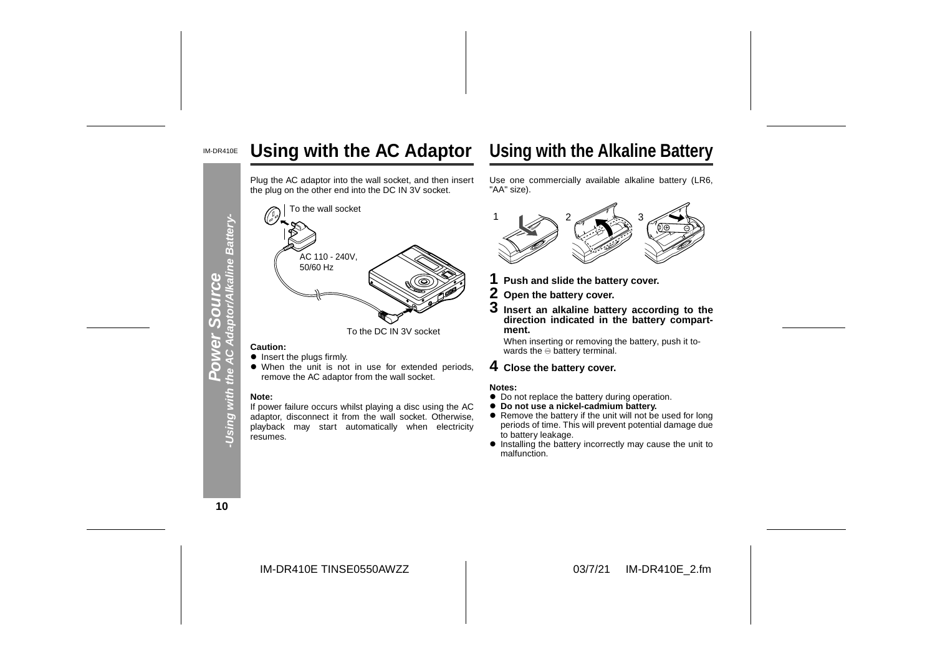#### IM-DR410E**Using with the AC Adaptor**

Plug the AC adaptor into the wall socket, and then insert the plug on the other end into the DC IN 3V socket.



- **.** Insert the plugs firmly.
- When the unit is not in use for extended periods, remove the AC adaptor from the wall socket.

#### **Note:**

 If power failure occurs whilst playing a disc using the AC adaptor, disconnect it from the wall socket. Otherwise, playback may start automatically when electricity resumes.



- 
- 
- 

When inserting or removing the battery, push it towards the  $\ominus$  battery terminal.

- 
- 
- 
- ! Installing the battery incorrectly may cause the unit to malfunction.

**10**

Using with th

**Power Source**

7 Œ

IM-DR410E TINSE0550AWZZ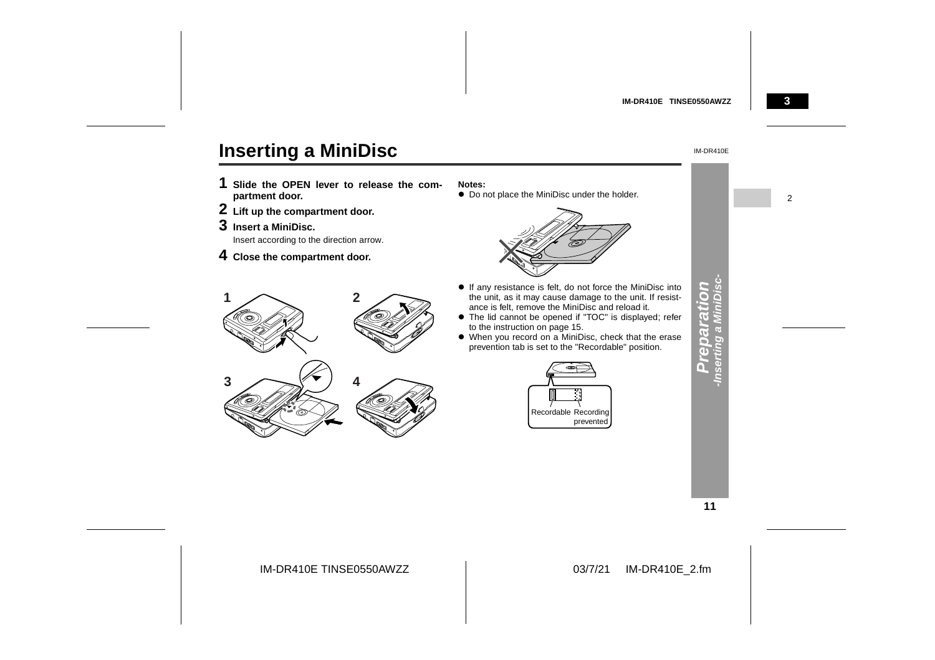

# **Inserting a MiniDisc**

- **1 Slide the OPEN lever to release the com partment door.**
- **2 Lift up the compartment door.**
- **3 Insert a MiniDisc.**
- 4 Close the compartment door.

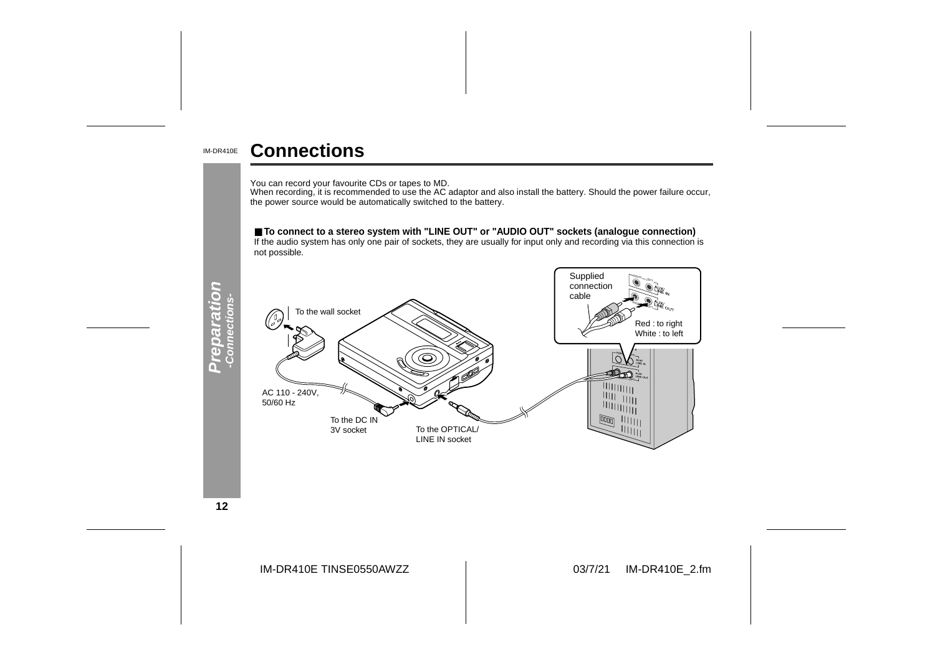#### IM-DR410E**Connections**

You can record your favourite CDs or tapes to MD.<br>When recording, it is recommended to use the AC adaptor and also install the battery. Should the power failure occur,<br>the power source would be automatically switched to th

### ■ **To connect to a stereo system with "LINE OUT" or "AUDIO OUT" sockets (analogue connection)**

If the audio system has only one pair of sockets, they are usually for input only and recording via this connection is not possible.



**12**

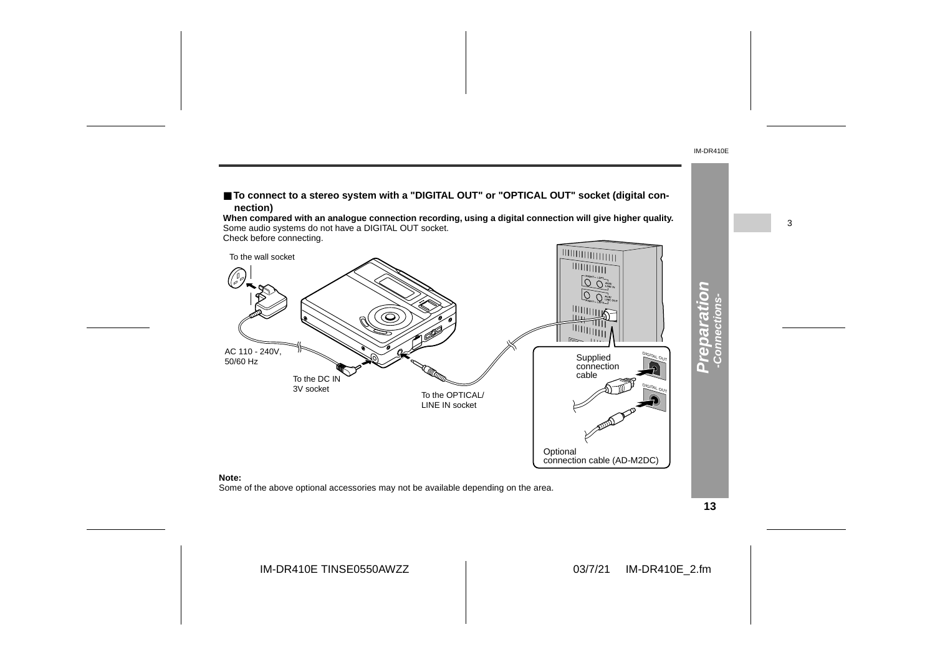

**13**

IM-DR410E

3

IM-DR410E TINSE0550AWZZ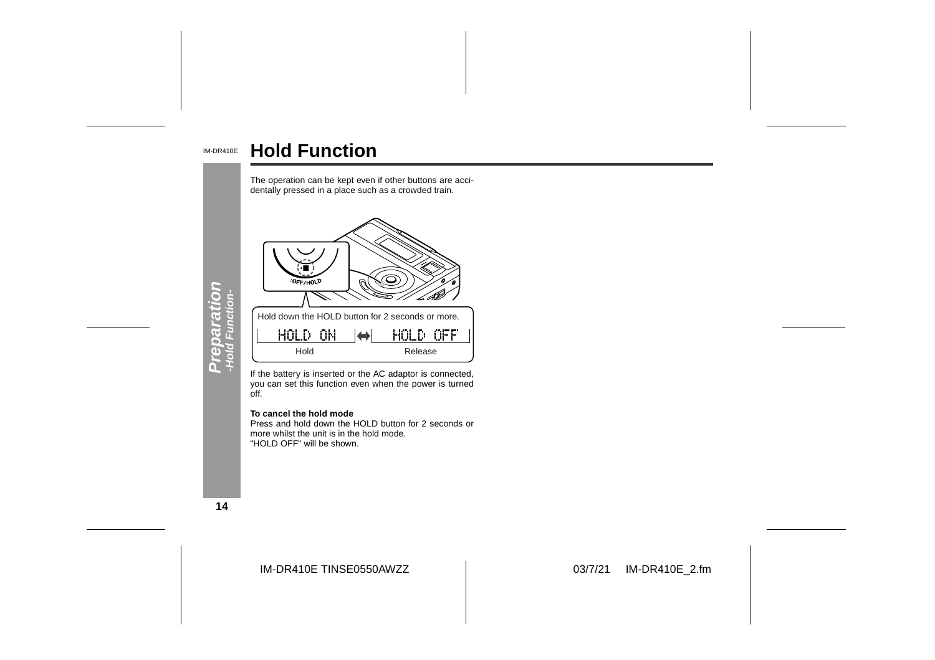#### IM-DR410E **Hold Function**



If the battery is inserted or the AC adaptor is connected, you can set this function even when the power is turned off.

#### **To cancel the hold mode**

 Press and hold down the HOLD button for 2 seconds ormore whilst the unit is in the hold mode. "HOLD OFF" will be shown.

**14**

IM-DR410E TINSE0550AWZZ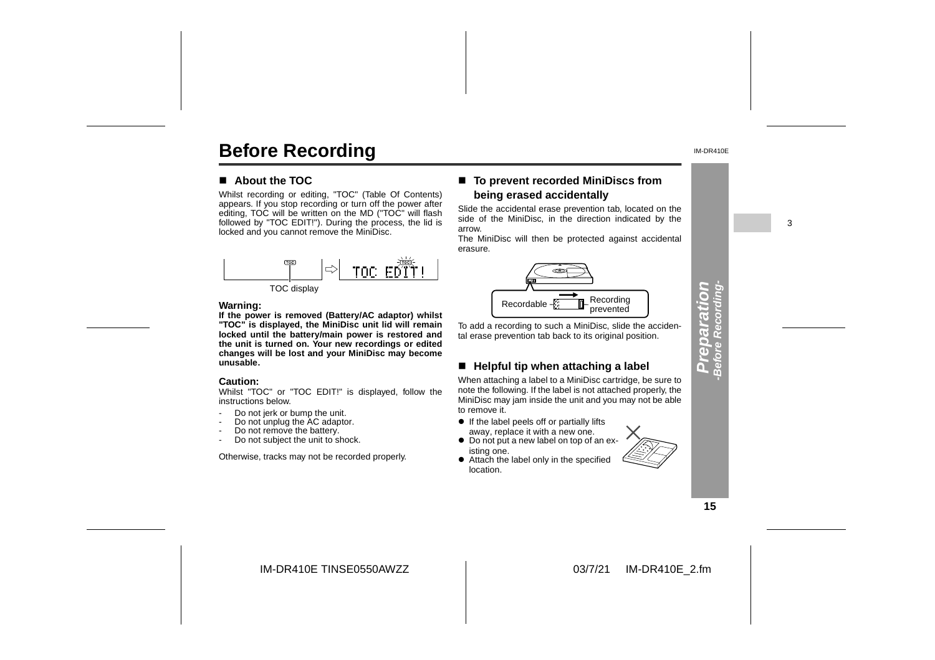# **Before Recording**

#### $\blacksquare$  About the TOC

Whilst recording or editing, "TOC" (Table Of Contents) appears. If you stop recording or turn off the power after editing, TOC will be written on the MD ("TOC" will flash followed by "TOC EDIT!"). During the process, the lid is locked and you cannot remove the MiniDisc.



#### **Warning:**

**If the power is removed (Battery/AC adaptor) whilst "TOC" is displayed, the MiniDisc unit lid will remain locked until the battery/main power is restored and the unit is turned on. Your new recordings or edited changes will be lost and your MiniDisc may become unusable.**

#### **Caution:**

 Whilst "TOC" or "TOC EDIT!" is displayed, follow the instructions below.

- -Do not jerk or bump the unit.
- -Do not unplug the AC adaptor.
- -Do not remove the battery.
- -Do not subject the unit to shock.

Otherwise, tracks may not be recorded properly.

### ■ To prevent recorded MiniDiscs from **being erased accidentally**

Slide the accidental erase prevention tab, located on the side of the MiniDisc, in the direction indicated by the arrow.

The MiniDisc will then be protected against accidental erasure.



To add a recording to such a MiniDisc, slide the accidental erase prevention tab back to its original position.

#### " **Helpful tip when attaching a label**

When attaching a label to a MiniDisc cartridge, be sure to note the following. If the label is not attached properly, the MiniDisc may jam inside the unit and you may not be able to remove it.

- If the label peels off or partially lifts
- away, replace it with a new one. • Do not put a new label on top of an ex-
- isting one. • Attach the label only in the specified location.



**15**

**Preparation -Before Recording-**

epara

S

IM-DR410E TINSE0550AWZZ

#### 03/7/21 IM-DR410E\_2.fm

IM-DR410E

3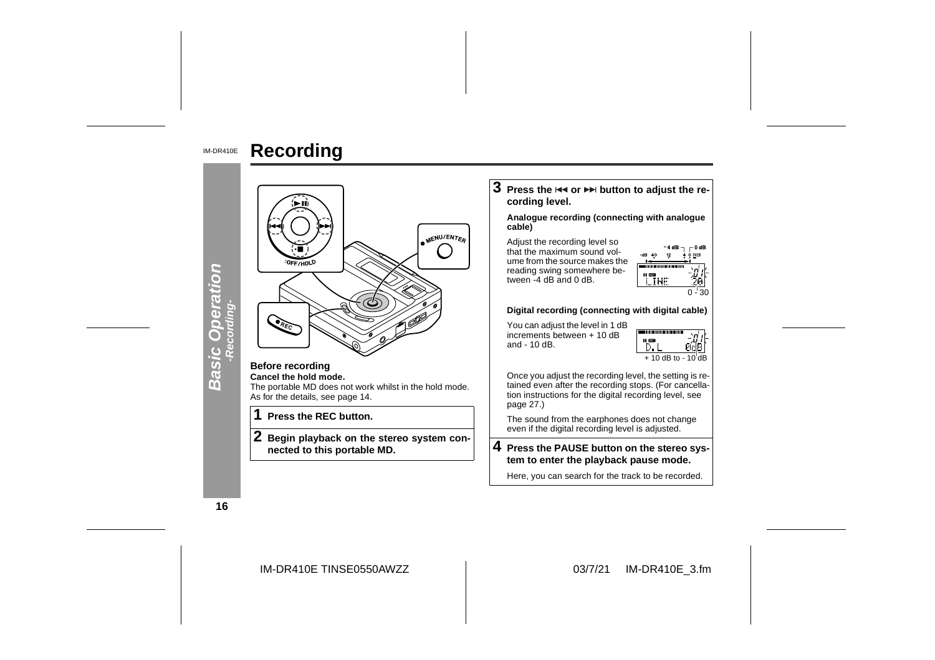

**Recording**

**16**

IM-DR410E TINSE0550AWZZ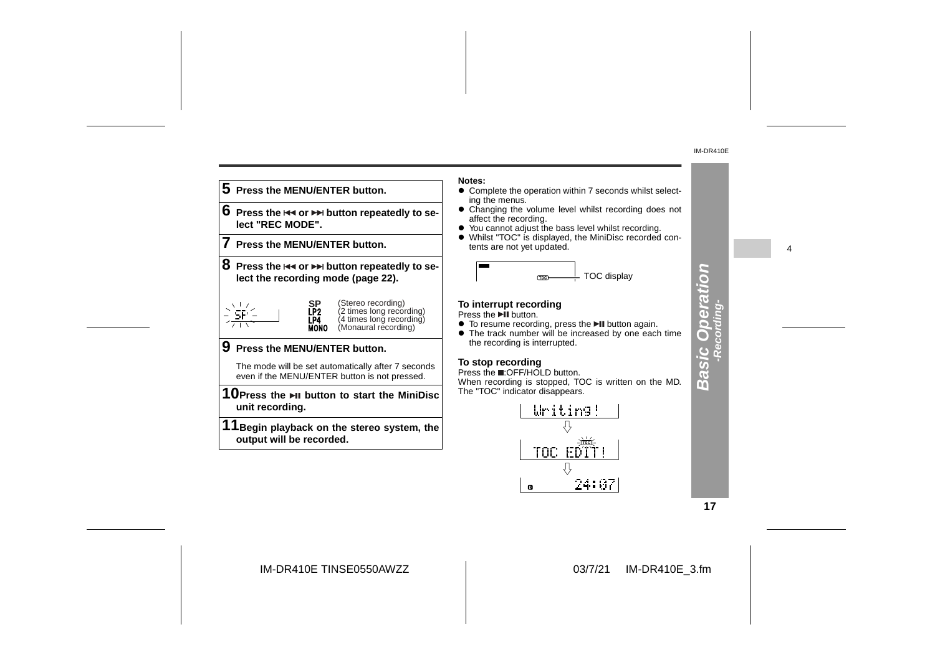4



**Notes:**

- ! Complete the operation within 7 seconds whilst select-
- Changing the volume level whilst recording does not
- ! Whilst "TOC" is displayed, the MiniDisc recorded con-

• The track number will be increased by one each time

When recording is stopped, TOC is written on the MD.

TOC EDT 뮤 24:07  $\mathbf 0$ 

**17**

**Basic Operation -Recording-**

**Basic Operation** 

IM-DR410E TINSE0550AWZZ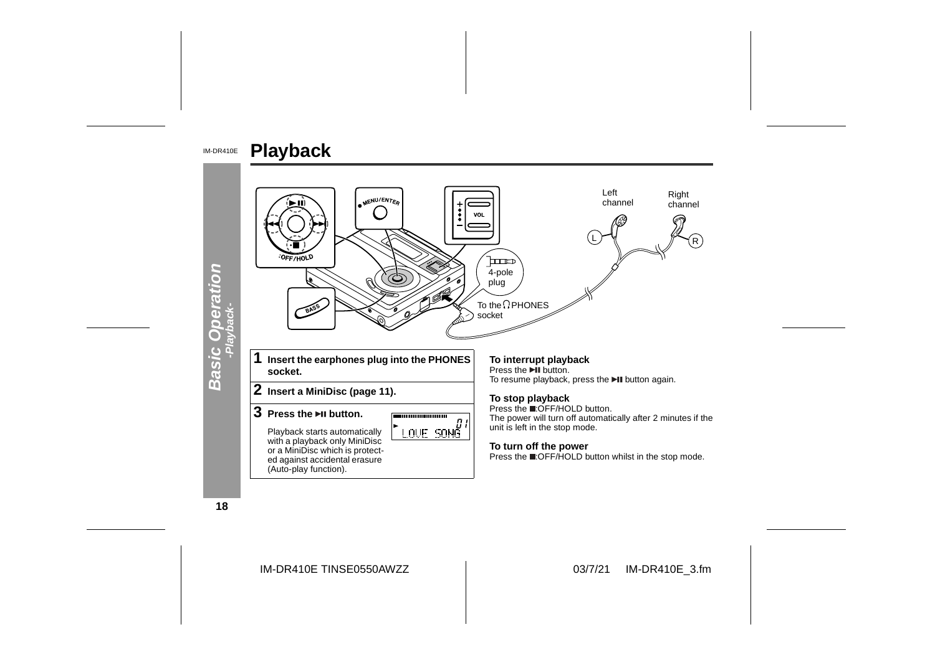

**18**

IM-DR410E TINSE0550AWZZ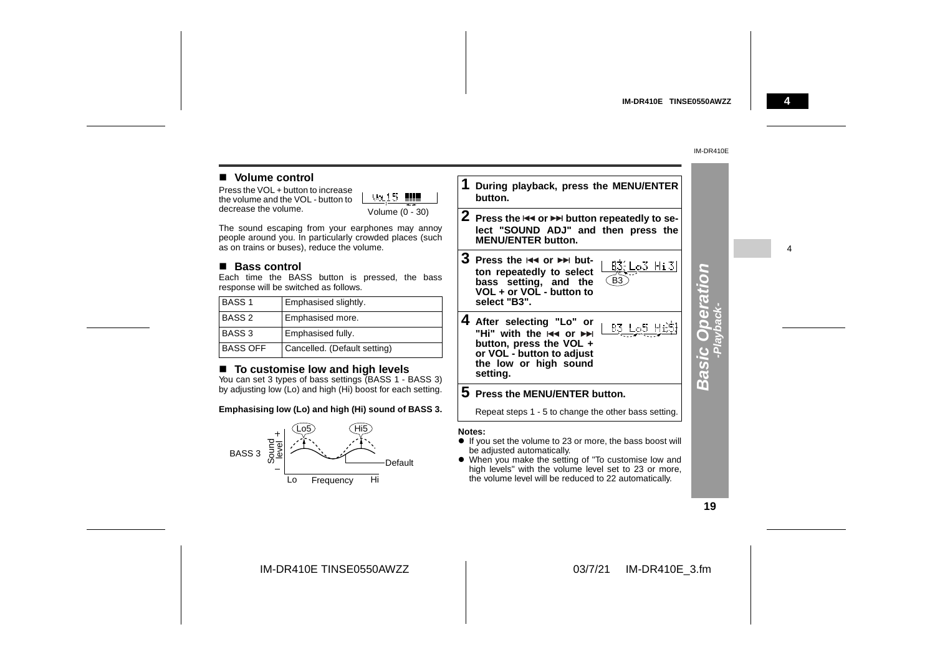#### **4**

4

#### IM-DR410E

#### **Nolume control**

Press the VOL + button to increase the volume and the VOL - but decrease the volume.

| OL - button to | Vollb           |
|----------------|-----------------|
|                |                 |
| ٠              | Volume (0 - 30) |

The sound escaping from your earphones may annoy people around you. In particularly crowded places (such as on trains or buses), reduce the volume.

#### ■ Bass control

Each time the BASS button is pressed, the bass response will be switched as follows.

| <b>BASS1</b>      | <b>Emphasised slightly.</b>  |
|-------------------|------------------------------|
| <b>BASS 2</b>     | Emphasised more.             |
| BASS <sub>3</sub> | Emphasised fully.            |
| <b>BASS OFF</b>   | Cancelled. (Default setting) |

#### ■ To customise low and high levels

You can set 3 types of bass settings (BASS 1 - BASS 3) by adjusting low (Lo) and high (Hi) boost for each setting.

#### **Emphasising low (Lo) and high (Hi) sound of BASS 3.**



**1 During playback, press the MENU/ENTER button.2** Press the I<◀ or ▶▶ button repeatedly to se-

**lect "SOUND ADJ" and then press the MENU/ENTER button.**

**3** Press the  $\Join$  or  $\Join$  but- $B3$ :  $Lo3$   $Hi3$ **ton repeatedly to select bass setting, and the** B3 **VOL + or VOL - button toselect "B3".**

**4 After selecting "Lo" or** B3 L<sub>0</sub>5 Hi53 "Hi" with the **H4 or ▶▶ button, press the VOL + or VOL - button to adjust the low or high sound setting.**

#### **5 Press the MENU/ENTER button.**

Repeat steps 1 - 5 to change the other bass setting.

#### **Notes:**

- ! If you set the volume to 23 or more, the bass boost will be adjusted automatically.
- ! When you make the setting of "To customise low and high levels" with the volume level set to 23 or more, the volume level will be reduced to 22 automatically.

#### **19**

**Basic Operation -Playback-**

**Basic Operation**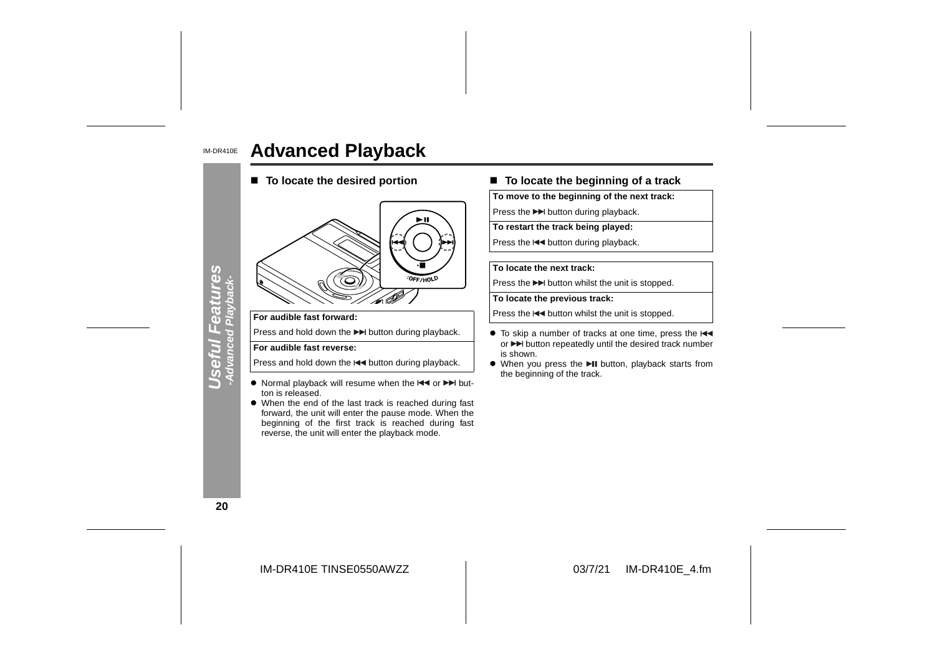#### IM-DR410E **Advanced Playback**

■ To locate the desired portion



#### **For audible fast forward:**

Press and hold down the  $\blacktriangleright$  button during playback.

#### **For audible fast reverse:**

Press and hold down the  $\blacktriangleleft$  button during playback.

- Normal playback will resume when the  $\blacktriangleleft$  or  $\blacktriangleright$  button is released.
- When the end of the last track is reached during fast forward, the unit will enter the pause mode. When the beginning of the first track is reached during fast reverse, the unit will enter the playback mode.

#### ■ To locate the beginning of a track

**To move to the beginning of the next track:**

Press the  $\blacktriangleright$  button during playback.

**To restart the track being played:**

Press the  $\blacktriangleleft$  button during playback.

#### **To locate the next track:**

Press the  $\blacktriangleright$  button whilst the unit is stopped.

**To locate the previous track:**

Press the  $\blacktriangleleft$  button whilst the unit is stopped.

- To skip a number of tracks at one time, press the or  $\blacktriangleright$  button repeatedly until the desired track number is shown.
- When you press the II button, playback starts from the beginning of the track.

**20**

**Useful Features -Advanced Playback-**

**Jseful Features**<br>-Advanced Playback-

IM-DR410E TINSE0550AWZZ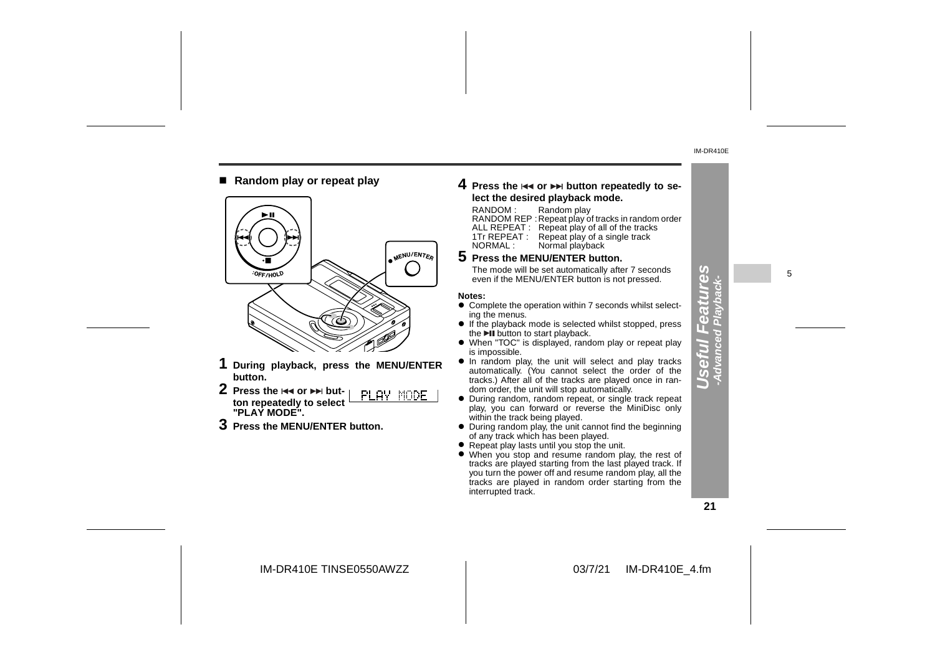#### ■ Random play or repeat play



- **1 During playback, press the MENU/ENTER button.**
- **2** Press the lਵৰ or ▶▶ but-PLAY MODE **ton repeatedly to select "PLAY MODE".**
- **3 Press the MENU/ENTER button.**

#### **4** Press the I◀◀ or ▶▶ button repeatedly to se**lect the desired playback mode.**

#### RANDOM : Random play

RANDOM REP :Repeat play of tracks in random order ALL REPEAT : Repeat play of all of the tracks 1Tr REPEAT : Repeat play of a single track<br>NORMAL : Normal playback Normal playback

#### **5 Press the MENU/ENTER button.**

The mode will be set automatically after 7 seconds The mode will be set automatically after 7 seconds<br>even if the MENU/ENTER button is not pressed.  $\overline{v}$ 

#### **Notes:**

- $\bullet$  Complete the operation within 7 seconds whilst selecting the menus.
- If the playback mode is selected whilst stopped, press the **DII** button to start playback.
- When "TOC" is displayed, random play or repeat play is impossible.
- $\bullet$  In random play, the unit will select and play tracks automatically. (You cannot select the order of the tracks.) After all of the tracks are played once in random order, the unit will stop automatically.
- " During random, random repeat, or single track repeat play, you can forward or reverse the MiniDisc only within the track being played.
- During random play, the unit cannot find the beginning of any track which has been played.
- Repeat play lasts until you stop the unit.
- When you stop and resume random play, the rest of tracks are played starting from the last played track. If you turn the power off and resume random play, all the tracks are played in random order starting from the interrupted track.

**Useful Features -Advanced Playback-**

E  $\overline{\mathbf{a}}$ ত  $\overline{v}$ 

**Gai** 

IM-DR410E TINSE0550AWZZ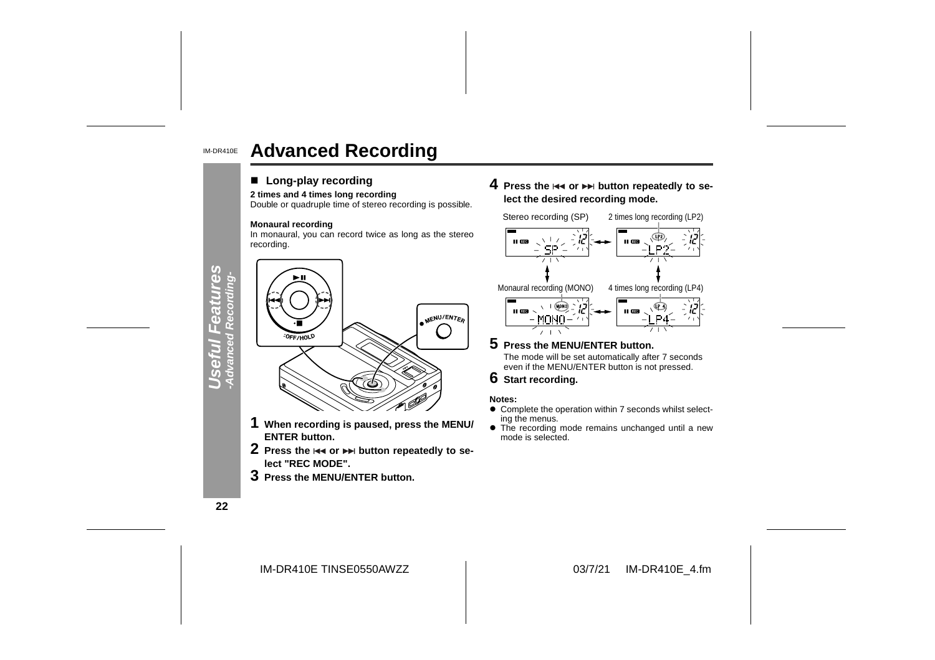#### IM-DR410E**Advanced Recording**

#### ■ Long-play recording

#### **2 times and 4 times long recording**

Double or quadruple time of stereo recording is possible.

#### **Monaural recording**

In monaural, you can record twice as long as the stereo recording.



- **1 When recording is paused, press the MENU/ ENTER button.**
- **2** Press the I◀◀ or ▶▶ button repeatedly to se**lect "REC MODE".**
- **3 Press the MENU/ENTER button.**

**4** Press the I<< or ▶▶ button repeatedly to se**lect the desired recording mode.**



#### **5 Press the MENU/ENTER button.** The mode will be set automatically after 7 seconds even if the MENU/ENTER button is not pressed.

**6 Start recording.**

#### **Notes:**

- $\bullet$  Complete the operation within 7 seconds whilst selecting the menus.
- The recording mode remains unchanged until a new mode is selected.

**22**

**Useful Features**

39

IM-DR410E TINSE0550AWZZ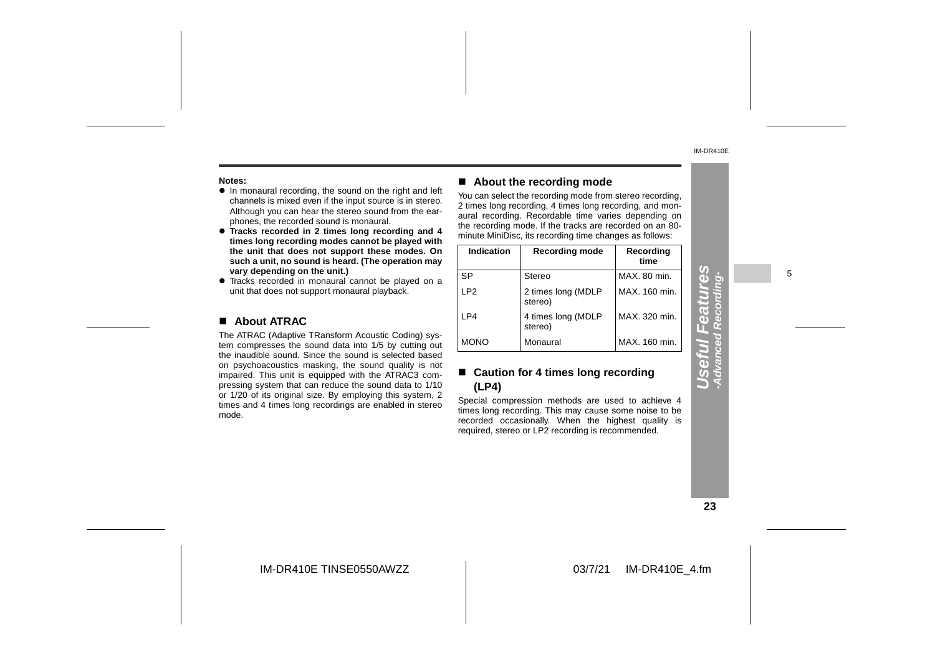#### **Notes:**

- In monaural recording, the sound on the right and left channels is mixed even if the input source is in stereo. Although you can hear the stereo sound from the ear phones, the recorded sound is monaural.
- **Tracks recorded in 2 times long recording and 4 times long recording modes cannot be played with the unit that does not support these modes. On such a unit, no sound is heard. (The operation may vary depending on the unit.)**
- Tracks recorded in monaural cannot be played on a unit that does not support monaural playback.

#### ! **About ATRAC**

The ATRAC (Adaptive TRansform Acoustic Coding) sys tem compresses the sound data into 1/5 by cutting out the inaudible sound. Since the sound is selected based on psychoacoustics masking, the sound quality is not impaired. This unit is equipped with the ATRAC3 com pressing system that can reduce the sound data to 1/10 or 1/20 of its original size. By employing this system, 2 times and 4 times long recordings are enabled in stereo mode.

#### ! **About the recording mode**

You can select the recording mode from stereo recording, 2 times long recording, 4 times long recording, and monaural recording. Recordable time varies depending on the recording mode. If the tracks are recorded on an 80 minute MiniDisc, its recording time changes as follows:

| Indication      | <b>Recording mode</b>         | Recording<br>time |
|-----------------|-------------------------------|-------------------|
| SP              | Stereo                        | MAX. 80 min.      |
| LP <sub>2</sub> | 2 times long (MDLP<br>stereo) | MAX. 160 min.     |
| LP4             | 4 times long (MDLP<br>stereo) | MAX. 320 min.     |
| <b>MONO</b>     | Monaural                      | MAX. 160 min.     |

#### ■ Caution for 4 times long recording **(LP4)**

Special compression methods are used to achieve 4 times long recording. This may cause some noise to be recorded occasionally. When the highest quality is required, stereo or LP2 recording is recommended.

5

#### **23**

**Useful Features -Advanced Recording-**

eful Fea

res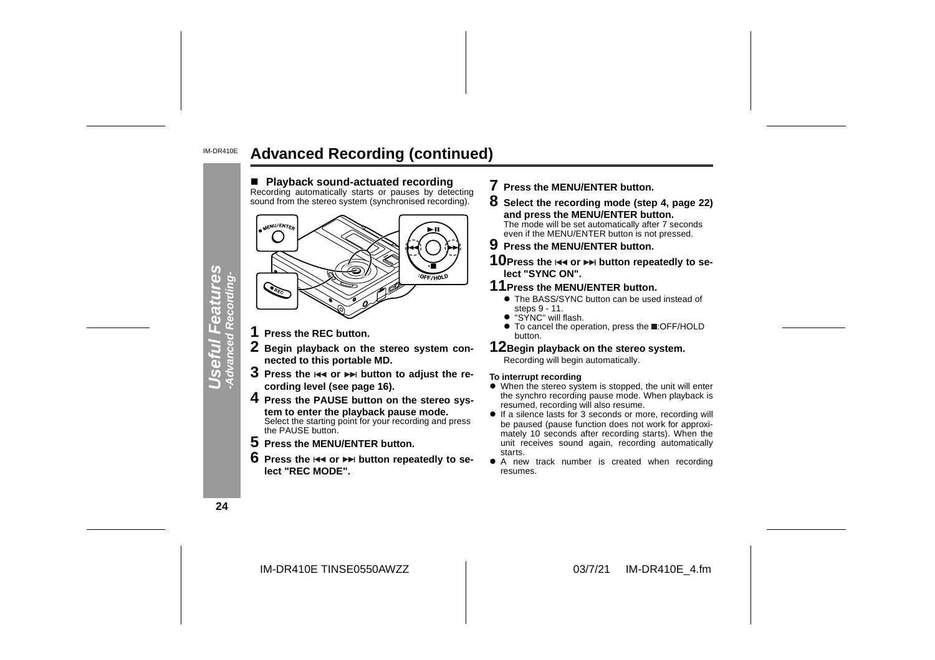#### IM-DR410E**Advanced Recording (continued)**



- **7 Press the MENU/ENTER button.**
- **8 Select the recording mode (step 4, page 22) and press the MENU/ENTER button.** The mode will be set automatically after 7 seconds even if the MENU/ENTER button is not pressed.
- **9 Press the MENU/ENTER button.**
- 10 Press the  $\leftrightarrow$  or  $\rightarrow$  button repeatedly to se**lect "SYNC ON".**
- **11Press the MENU/ENTER button.**
	- The BASS/SYNC button can be used instead of steps 9 - 11.
	- "SYNC" will flash.
	- To cancel the operation, press the **E**:OFF/HOLD button.

**12Begin playback on the stereo system.** Recording will begin automatically.

#### **To interrupt recording**

- When the stereo system is stopped, the unit will enter the synchro recording pause mode. When playback is resumed, recording will also resume.
- $\bullet$  If a silence lasts for 3 seconds or more, recording will be paused (pause function does not work for approximately 10 seconds after recording starts). When the unit receives sound again, recording automatically starts.
- $\bullet$  A new track number is created when recording resumes.

**24**

IM-DR410E TINSE0550AWZZ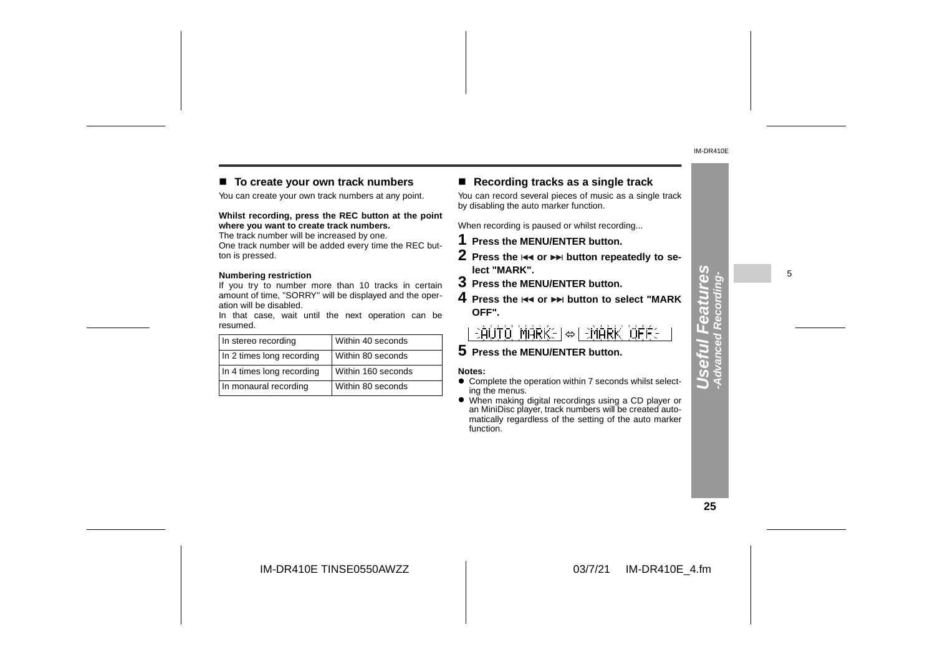#### ■ To create your own track numbers

You can create your own track numbers at any point.

**Whilst recording, press the REC button at the point where you want to create track numbers.**

The track number will be increased by one. One track number will be added every time the REC button is pressed.

#### **Numbering restriction**

If you try to number more than 10 tracks in certain amount of time, "SORRY" will be displayed and the operation will be disabled.

In that case, wait until the next operation can be resumed.

| In stereo recording       | Within 40 seconds  |
|---------------------------|--------------------|
| In 2 times long recording | Within 80 seconds  |
| In 4 times long recording | Within 160 seconds |
| In monaural recording     | Within 80 seconds  |

#### ! **Recording tracks as a single track**

You can record several pieces of music as a single track by disabling the auto marker function.

When recording is paused or whilst recording...

- **1 Press the MENU/ENTER button.**
- **2** Press the I◀◀ or ▶▶ button repeatedly to se**lect "MARK".**
- **3 Press the MENU/ENTER button.**
- **4** Press the **l**∢∢ or ▶▶I button to select "MARK **OFF".**

 $\Rightarrow$ AUTO MARKEI $\Leftrightarrow$ I $\Rightarrow$ MARK OFFE

**5 Press the MENU/ENTER button.**

#### **Notes:**

- Complete the operation within 7 seconds whilst selecting the menus.
- When making digital recordings using a CD player or an MiniDisc player, track numbers will be created automatically regardless of the setting of the auto marker function.

**25**

**Useful Features -Advanced Recording-**

Useful Features

5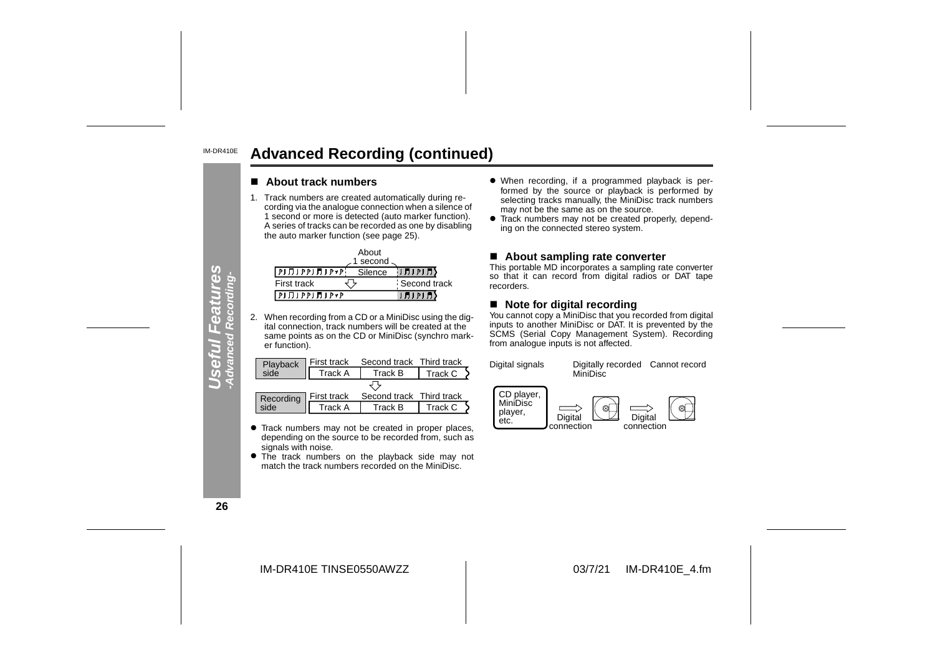#### IM-DR410E**Advanced Recording (continued)**

#### ■ About track numbers

1. Track numbers are created automatically during recording via the analogue connection when a silence of 1 second or more is detected (auto marker function). A series of tracks can be recorded as one by disabling the auto marker function (see page 25).

|                                            | About     |              |
|--------------------------------------------|-----------|--------------|
|                                            | 1 second. |              |
| $[P] \prod [P] \prod [P] \prod [P \ast P]$ | Silence   | り月)り月〜       |
| First track                                |           | Second track |
| $[P] \Pi 1 P P 1 \Pi 1 P \star P$          |           | リガリアリガン      |

2. When recording from a CD or a MiniDisc using the digital connection, track numbers will be created at the same points as on the CD or MiniDisc (synchro marker function).

|                  | First track | Second track Third track |         |
|------------------|-------------|--------------------------|---------|
| Playback<br>side | Track A     | Track B                  | Track C |
|                  |             |                          |         |
| Recording        | First track | Second track Third track |         |
| side             | Track A     | Track B                  | Track C |

- **•** Track numbers may not be created in proper places, depending on the source to be recorded from, such as signals with noise.
- The track numbers on the playback side may not match the track numbers recorded on the MiniDisc.
- When recording, if a programmed playback is performed by the source or playback is performed by selecting tracks manually, the MiniDisc track numbers may not be the same as on the source.
- Track numbers may not be created properly, depending on the connected stereo system.

#### ■ About sampling rate converter

This portable MD incorporates a sampling rate converter so that it can record from digital radios or DAT tape recorders.

#### ■ Note for digital recording

You cannot copy a MiniDisc that you recorded from digital inputs to another MiniDisc or DAT. It is prevented by the SCMS (Serial Copy Management System). Recording from analogue inputs is not affected.



**26**

**Useful Features -Advanced Recording-**

fWl Fea<br>anced Rec erul

mlee

**Sez** 

IM-DR410E TINSE0550AWZZ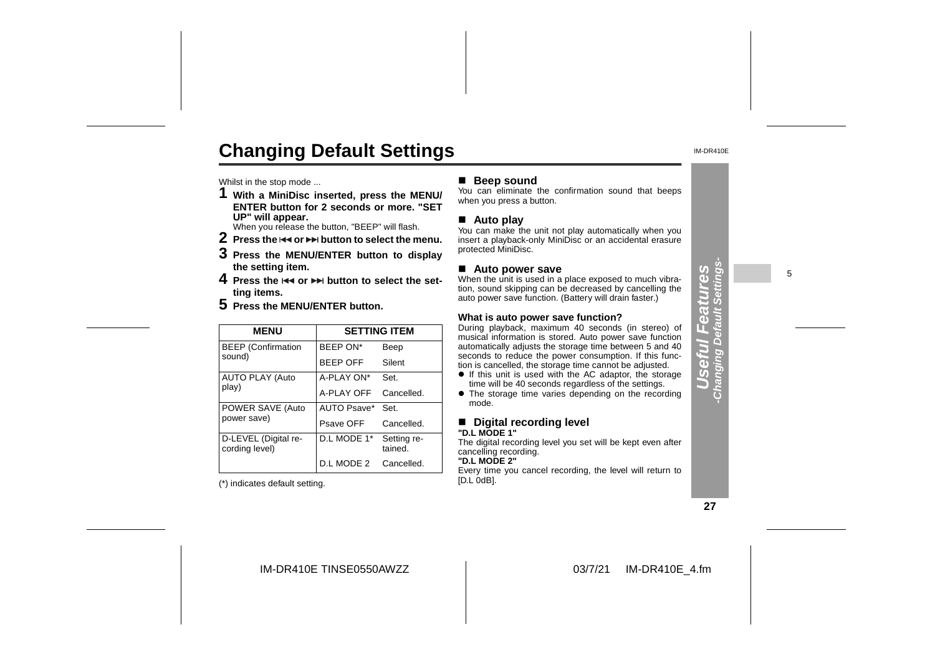# **Changing Default Settings**

Whilst in the stop mode ...

**1 With a MiniDisc inserted, press the MENU/ ENTER button for 2 seconds or more. "SETUP" will appear.**

When you release the button, "BEEP" will flash.

- $2\,$  Press the  $\leftrightarrow$  or  $\rightarrow$  button to select the menu.
- **3 Press the MENU/ENTER button to display the setting item.**
- **4** Press the  $\Join$  or  $\Join$  button to select the set**ting items.**
- **5 Press the MENU/ENTER button.**

| <b>MENU</b>                            |                 | <b>SETTING ITEM</b>    |
|----------------------------------------|-----------------|------------------------|
| <b>BEEP</b> (Confirmation              | BEEP ON*        | Beep                   |
| sound)                                 | <b>BEEP OFF</b> | Silent                 |
| <b>AUTO PLAY (Auto</b>                 | A-PLAY ON*      | Set.                   |
| play)                                  | A-PLAY OFF      | Cancelled.             |
| POWER SAVE (Auto<br>power save)        | AUTO Psave*     | Set.                   |
|                                        | Psave OFF       | Cancelled.             |
| D-LEVEL (Digital re-<br>cording level) | D.L MODE 1*     | Setting re-<br>tained. |
|                                        | D.L MODE 2      | Cancelled.             |

(\*) indicates default setting.

#### ■ **Beep sound**

You can eliminate the confirmation sound that beeps when you press a button.

#### ■ Auto play

You can make the unit not play automatically when you insert a playback-only MiniDisc or an accidental erasure protected MiniDisc.

#### ■ Auto power save

When the unit is used in a place exposed to much vibration, sound skipping can be decreased by cancelling the auto power save function. (Battery will drain faster.)

#### **What is auto power save function?**

During playback, maximum 40 seconds (in stereo) of musical information is stored. Auto power save function automatically adjusts the storage time between 5 and 40 seconds to reduce the power consumption. If this function is cancelled, the storage time cannot be adjusted.

- If this unit is used with the AC adaptor, the storage time will be 40 seconds regardless of the settings.
- The storage time varies depending on the recording mode.

#### ■ Digital recording level **"D.L MODE 1"**

The digital recording level you set will be kept even after cancelling recording.

### **"D.L MODE 2"**

 Every time you cancel recording, the level will return to [D.L 0dB].

**27**

**Useful Features -Changing Default Settings-**

E  $\overline{a}$  $\overline{0}$ 

 $\mathbf{d}$ π.

**Changing Default** 

**SƏ** 

5

IM-DR410E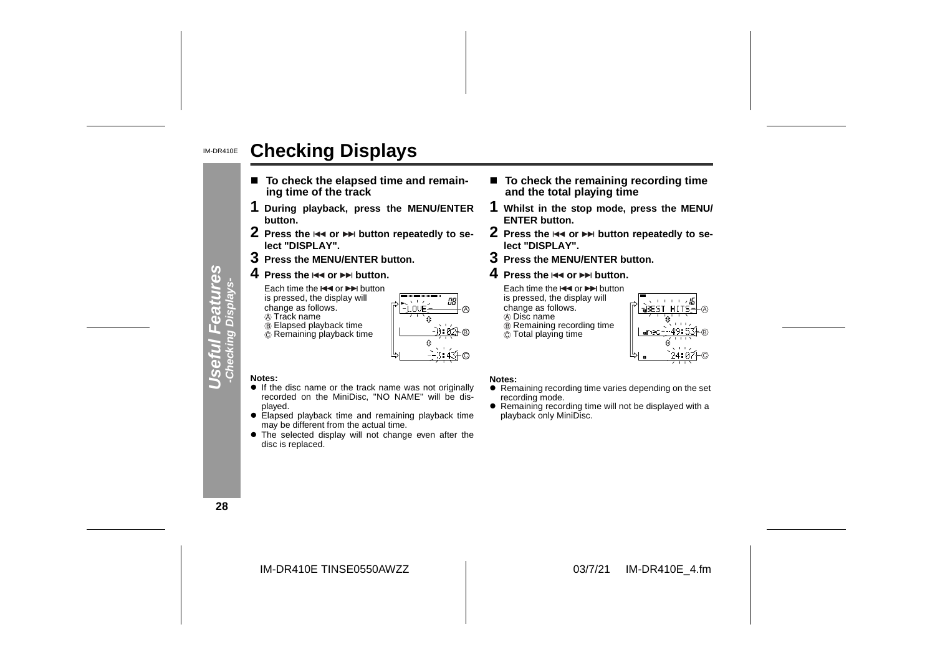#### IM-DR410E**Checking Displays**

- To check the elapsed time and remain**ing time of the track**
- **1 During playback, press the MENU/ENTER button.**
- **2** Press the I◀◀ or ▶▶ button repeatedly to se**lect "DISPLAY".**
- **3 Press the MENU/ENTER button.**
- **4** Press the l◀◀ or ▶▶ button.

Each time the l<< or DDI button is pressed, the display will change as follows.

**A** Track name

 Elapsed playback time Remaining playback time

LOVE

#### ■ To check the remaining recording time **and the total playing time**

- **1 Whilst in the stop mode, press the MENU/ ENTER button.**
- **2** Press the  $\Join$  or ►► button repeatedly to se**lect "DISPLAY".**
- **3 Press the MENU/ENTER button.**
- **4** Press the l<< or ▶▶ button.

Each time the  $\blacktriangleleft$  or  $\blacktriangleright$  button is pressed, the display will change as follows. Disc name Remaining recording time  $\ddot{\odot}$  Total playing time



#### **Notes:**

- **.** If the disc name or the track name was not originally recorded on the MiniDisc, "NO NAME" will be displayed.
- Elapsed playback time and remaining playback time may be different from the actual time.
- The selected display will not change even after the disc is replaced.

#### **Notes:**

A

B

C

- $\bullet$  Remaining recording time varies depending on the set recording mode.
- Remaining recording time will not be displayed with a playback only MiniDisc.

**28**

**Useful Features -Checking Displays-**

 $\sigma$ 

Œ  $\Box$ 

**Ces** ТT,

IM-DR410E TINSE0550AWZZ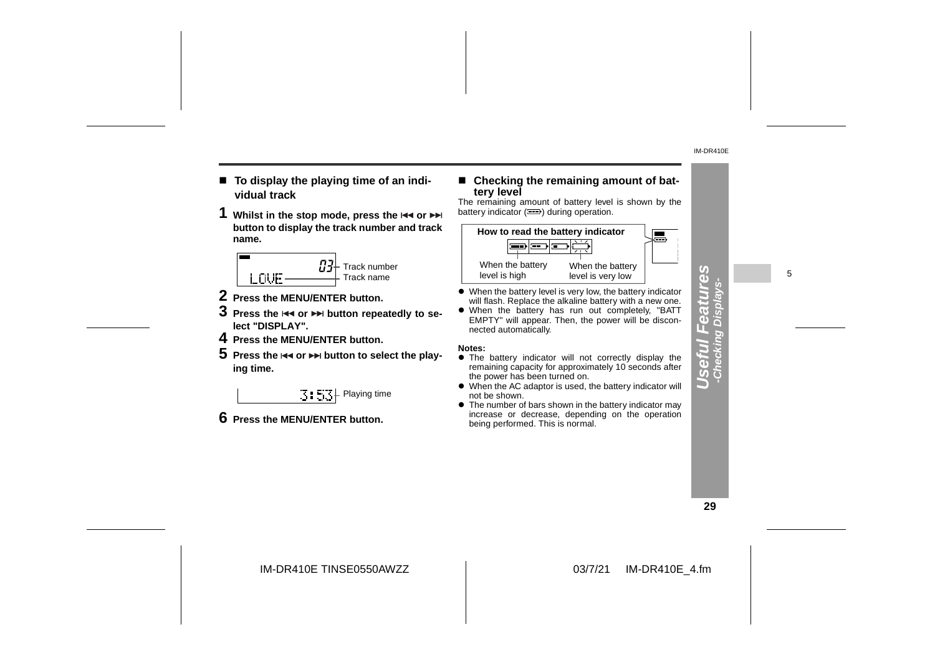- To display the playing time of an indi**vidual track**
- **1** Whilst in the stop mode, press the  $\blacktriangleleft$  or **button to display the track number and track name.**



- **2 Press the MENU/ENTER button.**
- $\bf 3$  Press the  $\bf 3$  or  $\bf 3$  button repeatedly to se**lect "DISPLAY".**
- **4 Press the MENU/ENTER button.**
- ${\bf 5}\,$  Press the  $\Join$  or  $\Join$  button to select the play**ing time.**

 $\mathbb{E}$  :  $\mathbb{E}$   $\mathbb{E}$  Playing time

**6 Press the MENU/ENTER button.**

# ! **Checking the remaining amount of bat- tery level** The remaining amount of battery level is shown by the

battery indicator  $($ <del>.</del>) during operation.



- When the battery level is very low, the battery indicator will flash. Replace the alkaline battery with a new one.
- When the battery has run out completely, "BATT EMPTY" will appear. Then, the power will be disconnected automatically.

#### **Notes:**

- **•** The battery indicator will not correctly display the remaining capacity for approximately 10 seconds after the power has been turned on.
- When the AC adaptor is used, the battery indicator will not be shown.
- $\bullet$  The number of bars shown in the battery indicator may increase or decrease, depending on the operation being performed. This is normal.

**29**

**Useful Features -Checking Displays-**

 $\overline{\mathbf{a}}$  $\overline{0}$ 

 $\sqrt{2}$  $\Box$ ä cking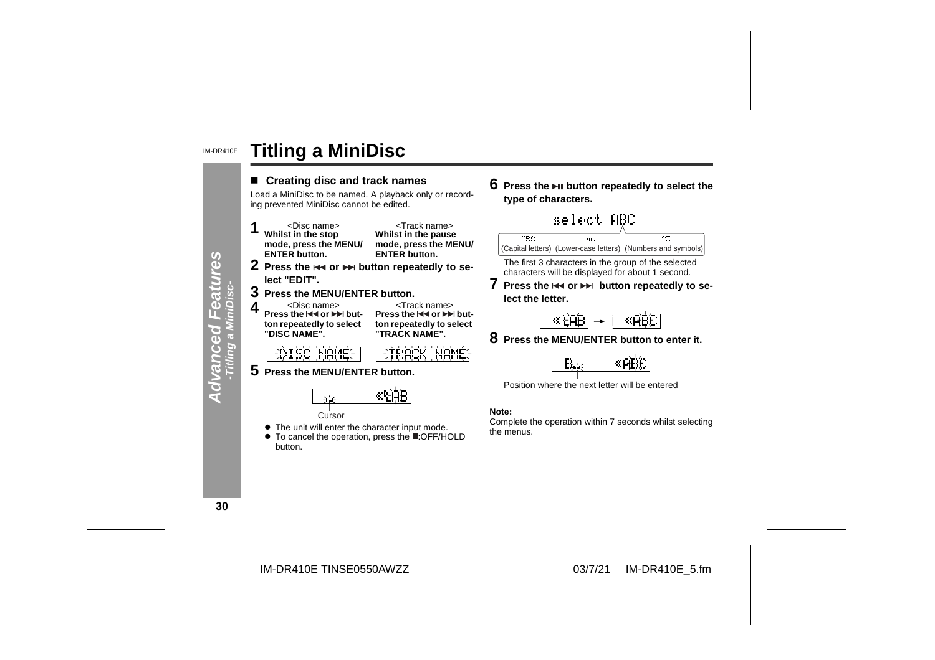#### IM-DR410E**Titling a MiniDisc**



**6** Press the ►Ⅱ button repeatedly to select the **type of characters.**



The first 3 characters in the group of the selected characters will be displayed for about 1 second.

**7** Press the  $\leftrightarrow$  or  $\leftrightarrow$  button repeatedly to se**lect the letter.**

$$
\frac{\langle \mathbb{R}[\hat{\theta}|\hat{B}]\rangle}{\langle \mathbb{R}[\hat{\theta}|\hat{B}]\rangle}=\frac{\langle \mathbb{R}[\hat{\theta}|\hat{B}]\rangle}{\langle \mathbb{R}[\hat{\theta}|\hat{B}]\rangle}
$$

**8 Press the MENU/ENTER button to enter it.**



Position where the next letter will be entered

Complete the operation within 7 seconds whilst selecting the menus.

**30**

IM-DR410E TINSE0550AWZZ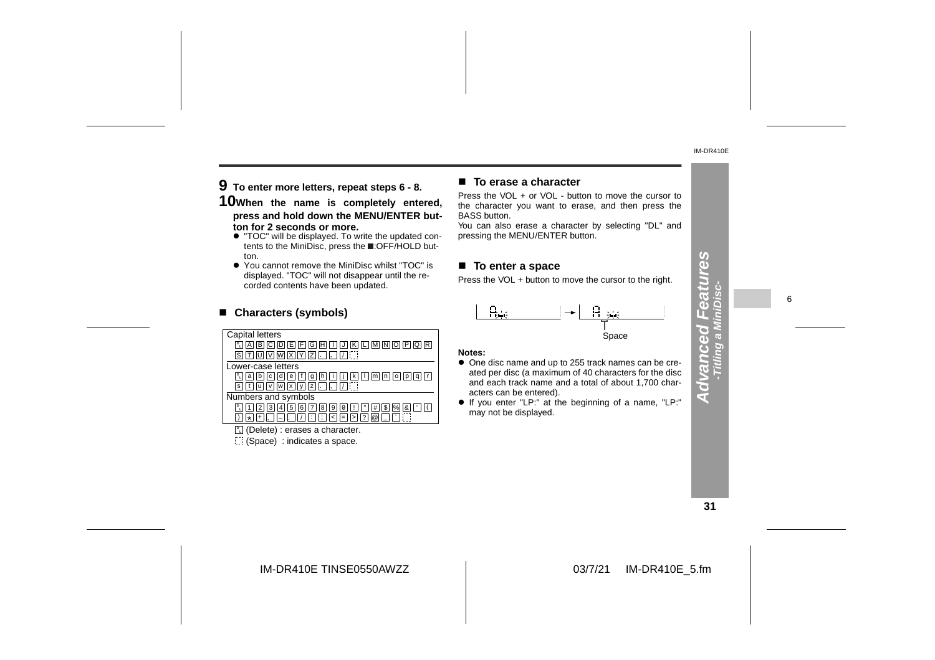**9 To enter more letters, repeat steps 6 - 8.**

**10When the name is completely entered, press and hold down the MENU/ENTER button for 2 seconds or more.**

- " "TOC" will be displayed. To write the updated contents to the MiniDisc, press the **E**:OFF/HOLD button.
- " You cannot remove the MiniDisc whilst "TOC" is displayed. "TOC" will not disappear until the recorded contents have been updated.

| corded contents have been updated.                                                                       | <b>THOSE TO YOU IN DOMESTIC THOTO THE OUTSOF TO THE TIGHT.</b>                                                  |  |
|----------------------------------------------------------------------------------------------------------|-----------------------------------------------------------------------------------------------------------------|--|
| ■ Characters (symbols)                                                                                   |                                                                                                                 |  |
| Capital letters<br>$\boxed{1}$ A B C D E F G H $\boxed{1}$ K $\boxed{1}$ M $\boxed{N}$ D $\boxed{P}$ Q R | Space<br>Notes:                                                                                                 |  |
| Lower-case letters<br><b>P. a b c d e f q h i l i k l m n o p q r</b>                                    | • One disc name and up to 255 track names can be cre-<br>ated per disc (a maximum of 40 characters for the disc |  |

**a** b c d e f g h i J k I m n o p q r  $\overline{\mathbf{s}}$  t  $\overline{\mathbf{u}}$   $\overline{\mathbf{w}}$   $\overline{\mathbf{w}}$   $\overline{\mathbf{x}}$   $\overline{\mathbf{y}}$   $\overline{\mathbf{z}}$   $\overline{\mathbf{v}}$   $\overline{\mathbf{v}}$ 

Numbers and symbols

1 | | 2 | | 3 | | 4 | | 5 | | 6 | | 7 | | 8 , ||-||. ||/ Z | 8 | 9 | 0 | L | L' | #<br>: | [; | < | = | > | ? | @ 2 | 3 | 4 | 5 | 6 | 7 | 8 | 9 | 0 | 1 | " | # | \$ | % | & | ' | ' | 1<br>+ | , | — | , | | | | : | ; | < | = | > | ? | @ | \_ | | ` | : 1 | 2 | 3 | 4 | 5 | 6 | 7 | 8 | 9 | 0 | ! | | " | # | \$<br>\* | + | \_ | \_ | \_ | \_ | \_ | ; | ; | < | = | > | ? | @ | 9 | | 0 | | ! | | " | | # | | \$ | |%| | & | | ' ; < <sup>=</sup> % ) <sup>&</sup>gt; ? @ \_ ` **D L**

**L** (Delete) : erases a character.

(Space) : indicates a space.

#### ■ To erase a character

Press the VOL + or VOL - button to move the cursor to the character you want to erase, and then press the BASS button.

 You can also erase a character by selecting "DL" and pressing the MENU/ENTER button.

#### ■ To enter a space

Press the VOL + button to move the cursor to the right.



#### **Notes:**

- One disc name and up to 255 track names can be created per disc (a maximum of 40 characters for the disc and each track name and a total of about 1,700 characters can be entered).
- " If you enter "LP:" at the beginning of a name, "LP:" may not be displayed.

**31**

**Advanced Features**

 $\overline{\mathbf{C}}$ स

 $39$ 

6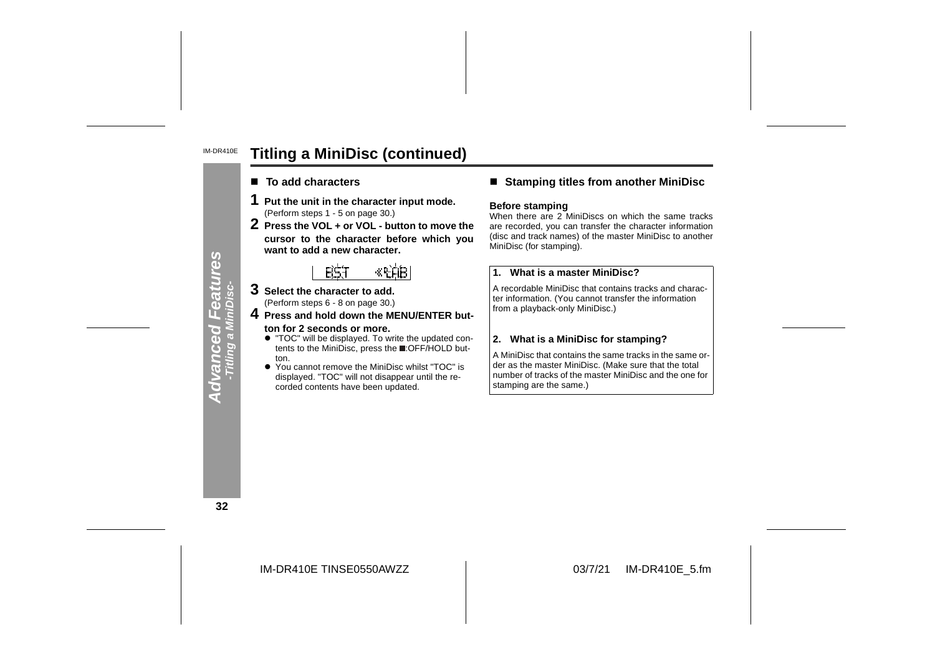#### IM-DR410E**Titling a MiniDisc (continued)**

- To add characters
- 
- 1 Put the unit in the character input mode.<br>
(Perform steps 1 5 on page 30.)<br>
2 Press the VOL + or VOL button to move the<br>
cursor to the character before which you want to add a new character.

- **3 Select the character to add.** (Perform steps 6 - 8 on page 30.)
- **4 Press and hold down the MENU/ENTER but ton for 2 seconds or more.**
	- " "TOC" will be displayed. To write the updated con tents to the MiniDisc, press the :OFF/HOLD button.
	- $\bullet$  You displayed. "TOC" will not disappear until the re-<br>corded contents have been updated.

### ■ Stamping titles from another MiniDisc

#### **Before stamping**

When there are 2 MiniDiscs on which the same tracks are recorded, you can transfer the character information (disc and track names) of the master MiniDisc to another

**EXAMPLE 1.1** What is a master MiniDisc?<br>
<br>
lect the character to add.<br>
In the character of add.<br>
In the character of add.<br>
<br> **EXAMPLE EXAMPLE EXAMPLE A**<br> **EXAMPLE EXAMPLE EXAMPLE A**<br> **EXAMPLE EXAMPLE EXAMPLE A**<br> **EXAMPLE** 

**32**

**Advanced Features -Titling a MiniDisc-**

a Mil

**Advanced**<br>Titling a Mi

eatures

IM-DR410E TINSE0550AWZZ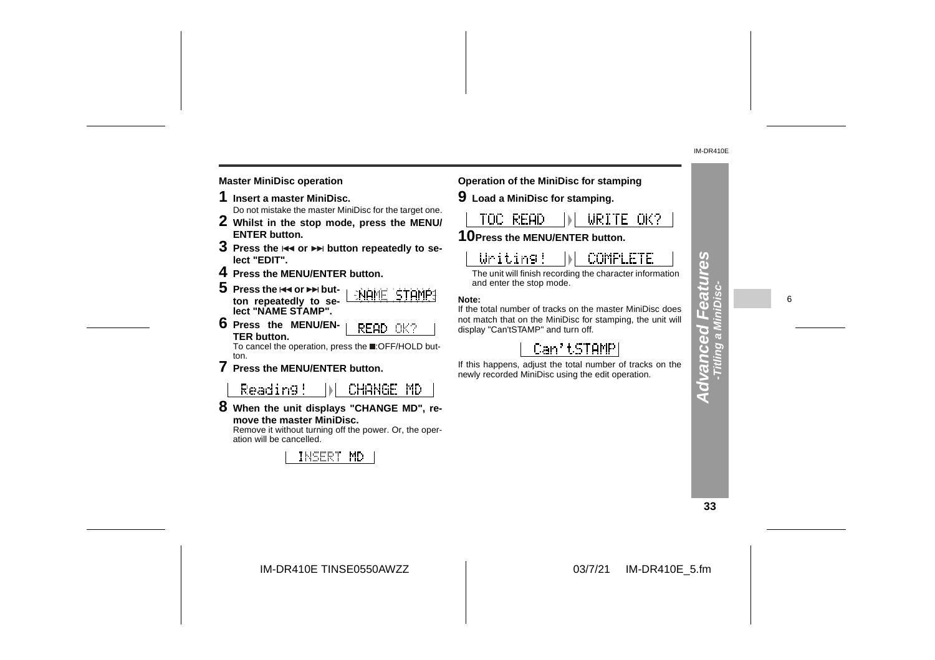#### **Master MiniDisc operation Operation of the MiniDisc for stamping**

- 
- 
- 
- 
- 
- 

Reading! CHANGE MD

**8 When the unit displays "CHANGE MD", remove the master MiniDisc.**

 Remove it without turning off the power. Or, the operation will be cancelled.





**9 Load a MiniDisc for stamping.**

The unit will finish recording the character information and enter the stop mode.

**Note:**

If the total number of tracks on the master MiniDisc does not match that on the MiniDisc for stamping, the unit will display "Can'tSTAMP" and turn off.

If this happens, adjust the total number of tracks on the newly recorded MiniDisc using the edit operation.

**33**

**Advanced Features -Titling a MiniDisc-**

**Advanced F** 

mzea

89

6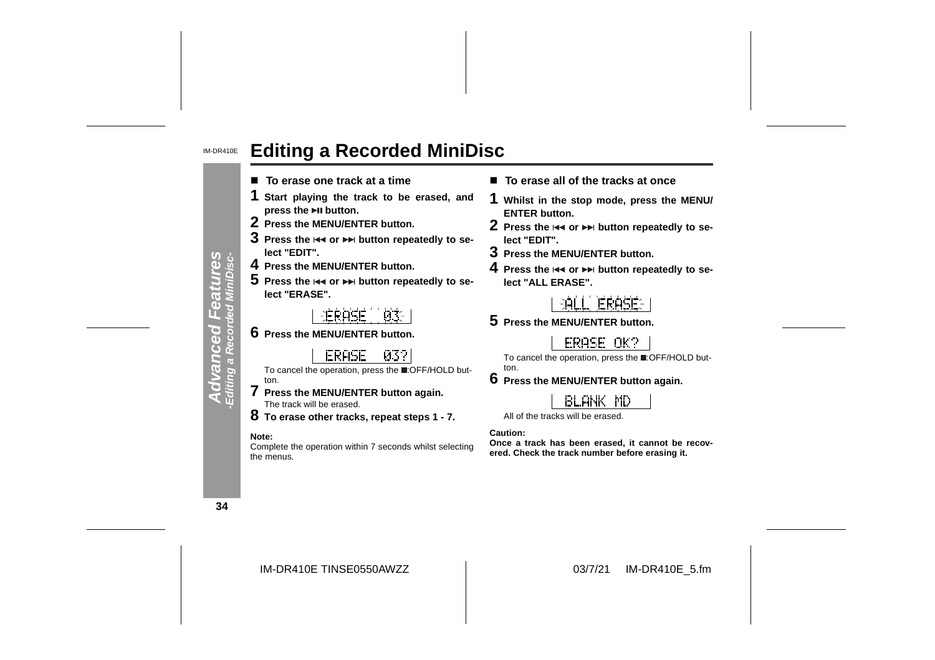#### IM-DR410E**Editing a Recorded MiniDisc**

- To erase one track at a time
- **1 Start playing the track to be erased, and press the button.**
- **2 Press the MENU/ENTER button.**
- $\bf 3$  Press the  $\bf 3$  or  $\bf 3$  button repeatedly to se**lect "EDIT".**
- **4 Press the MENU/ENTER button.**
- ${\bf 5}\,$  Press the  $\Join$  or  $\Join$  button repeatedly to se**lect "ERASE".**
	- 主任良心信任 n...
- **6 Press the MENU/ENTER button.**
	- **ERASE** -032
- To cancel the operation, press the :OFF/HOLD button.
- **7 Press the MENU/ENTER button again.** The track will be erased.
- **8 To erase other tracks, repeat steps 1 7.**

#### **Note:**

Complete the operation within 7 seconds whilst selecting the menus.

- **To erase all of the tracks at once**
- **1 Whilst in the stop mode, press the MENU/ ENTER button.**
- **2** Press the  $\Join$  or ►► button repeatedly to se**lect "EDIT".**
- **3 Press the MENU/ENTER button.**
- **4** Press the I<< or ▶▶ button repeatedly to se**lect "ALL ERASE".**



**5 Press the MENU/ENTER button.**

ERASE OK?

To cancel the operation, press the :OFF/HOLD button.

**6 Press the MENU/ENTER button again.**

## **BLANK MD**

All of the tracks will be erased.

**Caution:**

**Once a track has been erased, it cannot be recovered. Check the track number before erasing it.**

**34**

**Advanced Features -Editing a Recorded MiniDisc-**

peouen

 $\overline{a}$ 

res<br>Visc-

IM-DR410E TINSE0550AWZZ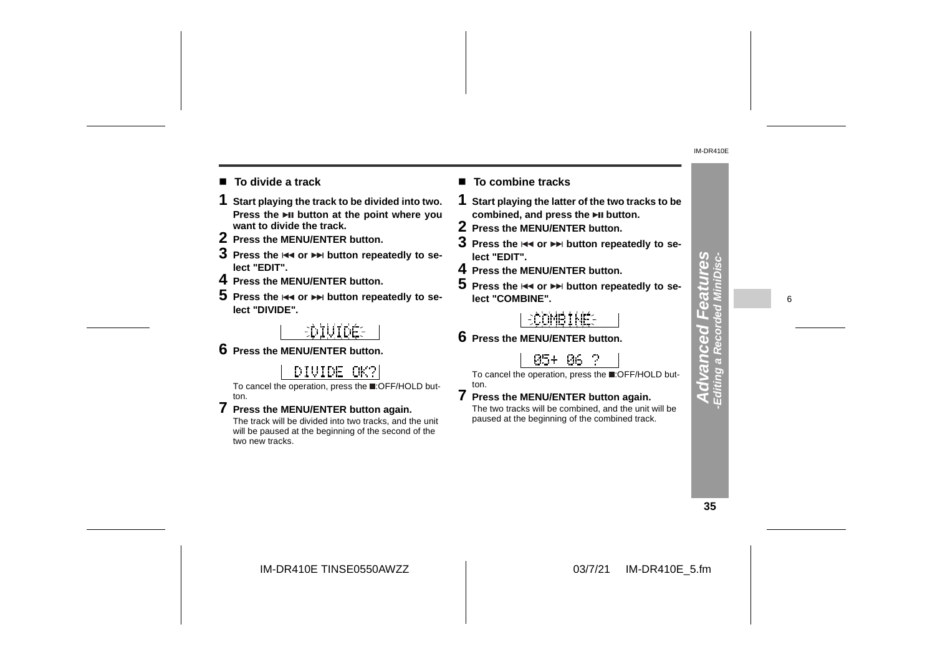- To divide a track
- **1 Start playing the track to be divided into two. Press the button at the point where you want to divide the track.**
- **2 Press the MENU/ENTER button.**
- $\bf 3$  Press the  $\bf 4$  or  $\bf 2$  button repeatedly to se**lect "EDIT".**
- **4 Press the MENU/ENTER button.**
- ${\bf 5}$  Press the  $\Join$  or  $\Join$  button repeatedly to se**lect "DIVIDE".**

# EDIUIDÉE

**6 Press the MENU/ENTER button.**

## DIVIDE OK?

To cancel the operation, press the :OFF/HOLD button.

**7 Press the MENU/ENTER button again.** The track will be divided into two tracks, and the unit will be paused at the beginning of the second of the two new tracks.

## ■ To combine tracks

- **1 Start playing the latter of the two tracks to be combined, and press the button.**
- **2 Press the MENU/ENTER button.**
- $\bf 3$  Press the  $\bf \bm{\ast} \bf \bm{\ast}$  or  $\bf \bm{\ast} \bf \bm{\ast}$  button repeatedly to se**lect "EDIT".**
- **4 Press the MENU/ENTER button.**
- $\mathbf 5\,$  Press the  $\overline{\mathbf 4\mathbf 4}$  or  $\overline{\mathbf 7\mathbf 7\mathbf 7\mathbf 7}$  button repeatedly to se**lect "COMBINE".**

## **ECOMBINE**S

**6 Press the MENU/ENTER button.**

ton.

## 05+ 06 ?

To cancel the operation, press the **.**OFF/HOLD but-

**7 Press the MENU/ENTER button again.** The two tracks will be combined, and the unit will be paused at the beginning of the combined track.

**35**

**Advanced Features -Editing a Recorded MiniDisc-**

ī. GS Š

iting a dva

 $\frac{3}{5}$ 

**njee** 

6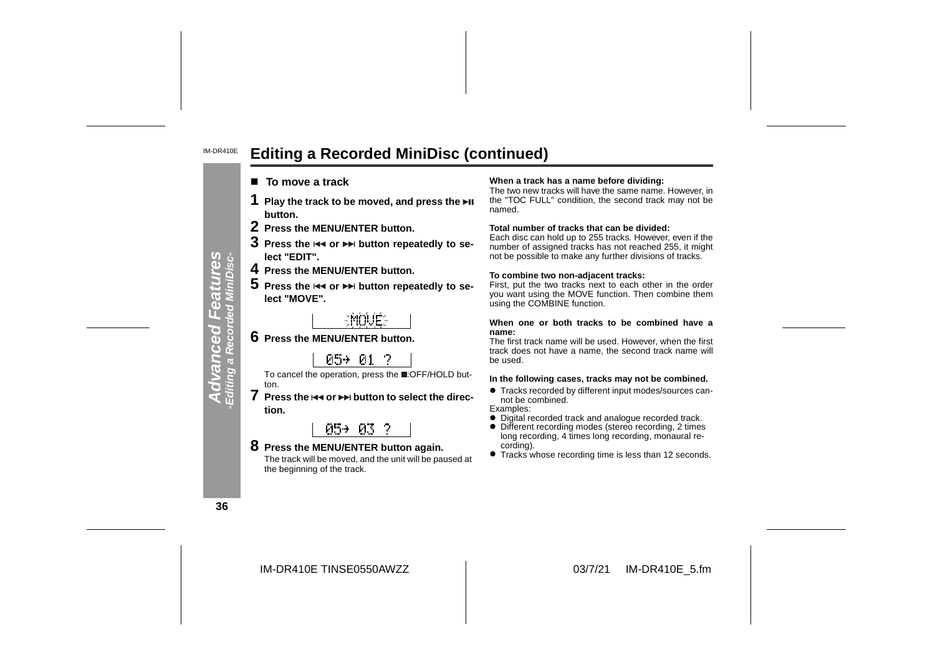#### IM-DR410E**Editing a Recorded MiniDisc (continued)**

- To move a track
- 
- 
- 
- 
- 

**7** Press the  $\leftrightarrow$  or  $\leftrightarrow$  button to select the direc**tion.**

## 05+ 03 ?

**8 Press the MENU/ENTER button again.** The track will be moved, and the unit will be paused at the beginning of the track.

#### **To move a track When a track has a name before dividing:**

The two new tracks will have the same name. However, in the "TOC FULL" condition, the second track may not be named.

#### **Total number of tracks that can be divided:**

 Each disc can hold up to 255 tracks. However, even if the number of assigned tracks has not reached 255, it might not be possible to make any further divisions of tracks. 1 Play the track to be moved, and press the  $\overline{P}I$ <br>
2 Press the MENU/ENTER button.<br>
3 Press the MENU/ENTER button in mond.<br>
3 Press the MENU/ENTER button repeatedly to se-<br>
lect "EDIT".<br>
In the or  $\overline{P}I$  button repe

#### **To combine two non-adjacent tracks:**

First, put the two tracks next to each other in the order you want using the MOVE function. Then combine them using the COMBINE function.

#### **When one or both tracks to be combined have a name:**

 The first track name will be used. However, when the first track does not have a name, the second track name will be used.

- **Tracks recorded by different input modes/sources can**not be combined.
- Examples:
- Digital recorded track and analogue recorded track.
- Different recording modes (stereo recording, 2 times long recording, 4 times long recording, monaural recording).
- Tracks whose recording time is less than 12 seconds.

**36**

**Advanced Features -Editing a Recorded MiniDisc-**

**Advanced I**<br>Editing a Record

tures<br>iniDisc-

eatul<br>d Mini£

IM-DR410E TINSE0550AWZZ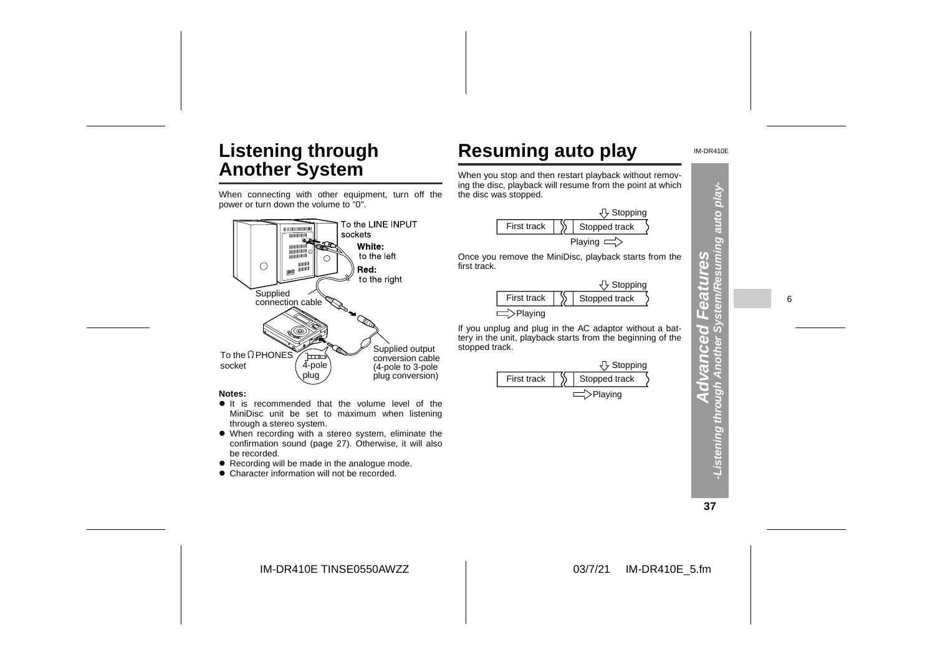# **Listening through Another System**

When connecting with other equipment, turn off the power or turn down the volume to "0".





|             | <b>J</b> Stopping |               |  |
|-------------|-------------------|---------------|--|
| First track |                   | Stopped track |  |
|             |                   |               |  |



IM-DR410E

### **Notes:**

- $\bullet$  It is recommended that the volume level of the MiniDisc unit be set to maximum when listening through a stereo system.
- When recording with a stereo system, eliminate the confirmation sound (page 27). Otherwise, it will also be recorded.
- $\bullet$  Recording will be made in the analogue mode.
- Character information will not be recorded.



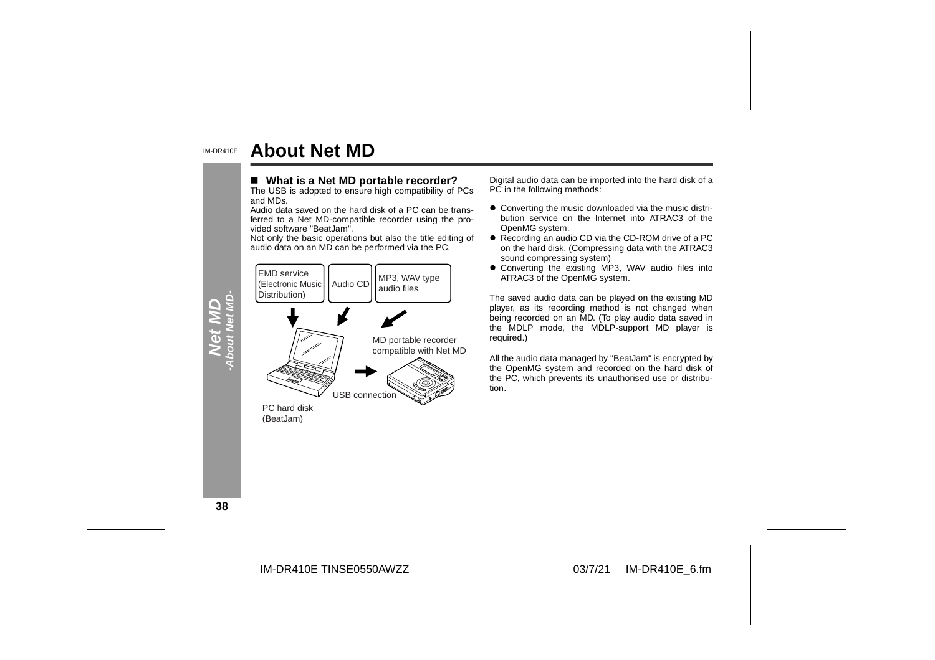#### IM-DR410E**About Net MD**

#### ■ What is a Net MD portable recorder?

The USB is adopted to ensure high compatibility of PCs and MDs.

 Audio data saved on the hard disk of a PC can be trans ferred to a Net MD-compatible recorder using the pro vided software "BeatJam".

Not only the basic operations but also the title editing of



- What is a Net MD portable recorder?<br>
The USB is adopted to ensure high compatibility of PCs<br>
Audio data can be imported into the hard disk of a<br>
Audio data saved on the hard disk of a PC can be trans-<br>
Audio data saved
	- sound compressing system)
	- Converting the existing MP3, WAV audio files into ATRAC3 of the OpenMG system.

The saved audio data can be played on the existing MD player, as its recording method is not changed when being recorded on an MD. (To play audio data saved in the MDLP mode, the MDLP-support MD player is required.)

All the audio data managed by "BeatJam" is encrypted by the OpenMG system and recorded on the hard disk of the PC, which prevents its unauthorised use or distribution.

**38**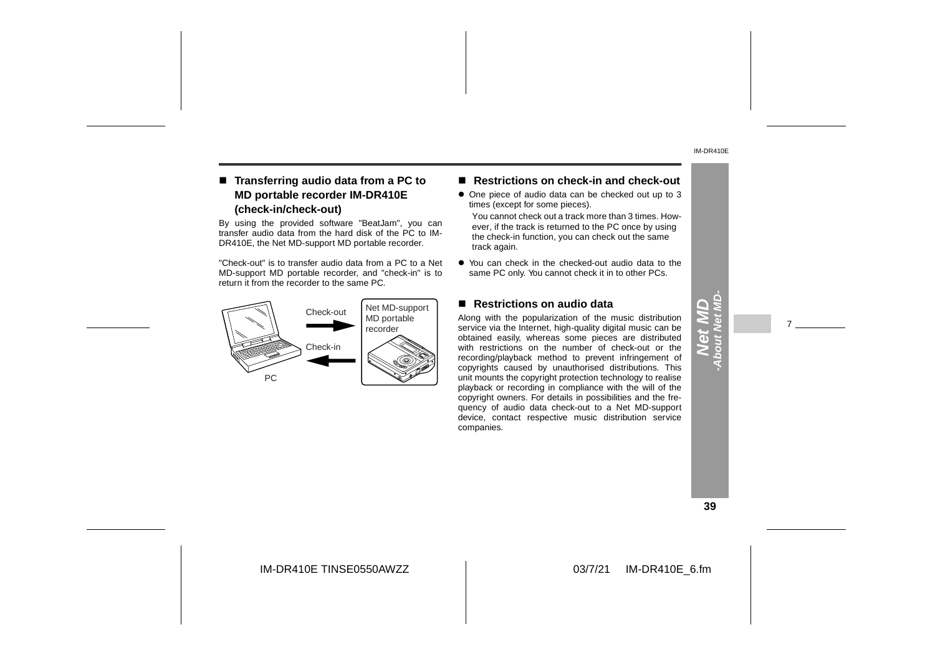### ■ Transferring audio data from a PC to **MD portable recorder IM-DR410E (check-in/check-out)**

By using the provided software "BeatJam", you can transfer audio data from the hard disk of the PC to IM-DR410E, the Net MD-support MD portable recorder.

"Check-out" is to transfer audio data from a PC to a Net MD-support MD portable recorder, and "check-in" is to return it from the recorder to the same PC.



#### ■ Restrictions on check-in and check-out

- One piece of audio data can be checked out up to 3 times (except for some pieces).
- You cannot check out a track more than 3 times. However, if the track is returned to the PC once by using the check-in function, you can check out the same track again.
- You can check in the checked-out audio data to the same PC only. You cannot check it in to other PCs.

#### ■ Restrictions on audio data

Along with the popularization of the music distribution service via the Internet, high-quality digital music can be obtained easily, whereas some pieces are distributed with restrictions on the number of check-out or the recording/playback method to prevent infringement of copyrights caused by unauthorised distributions. This unit mounts the copyright protection technology to realise playback or recording in compliance with the will of the copyright owners. For details in possibilities and the frequency of audio data check-out to a Net MD-support device, contact respective music distribution service companies.

#### **39**

**Net MD -About Net MD-**

7

IM-DR410E TINSE0550AWZZ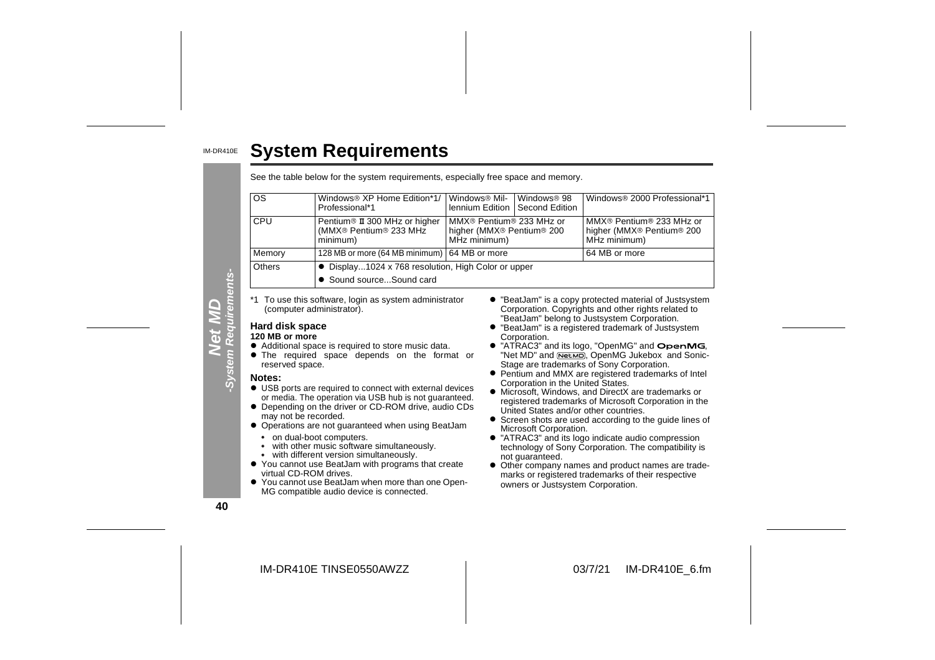|                 | <b>System Requirements</b>                                                          |                                                                                               |                                           |                                                                                                               |
|-----------------|-------------------------------------------------------------------------------------|-----------------------------------------------------------------------------------------------|-------------------------------------------|---------------------------------------------------------------------------------------------------------------|
|                 | See the table below for the system requirements, especially free space and memory.  |                                                                                               |                                           |                                                                                                               |
| <b>OS</b>       | Windows <sup>®</sup> XP Home Edition*1/<br>Professional*1                           | Windows <sup>®</sup> Mil-<br>lennium Edition                                                  | Windows <sup>®</sup> 98<br>Second Edition | Windows® 2000 Professional*1                                                                                  |
| CPU             | Pentium <sup>®</sup> II 300 MHz or higher<br>(MMX® Pentium® 233 MHz<br>minimum)     | MMX® Pentium® 233 MHz or<br>higher (MMX <sup>®</sup> Pentium <sup>®</sup> 200<br>MHz minimum) |                                           | MMX® Pentium® 233 MHz or<br>higher (MMX® Pentium® 200<br>MHz minimum)                                         |
| Memory          | 128 MB or more (64 MB minimum)   64 MB or more                                      |                                                                                               |                                           | 64 MB or more                                                                                                 |
| Others          | • Display1024 x 768 resolution, High Color or upper<br>• Sound sourceSound card     |                                                                                               |                                           |                                                                                                               |
|                 | *1 To use this software, login as system administrator<br>(computer administrator). |                                                                                               |                                           | • "BeatJam" is a copy protected material of Justsystem<br>Corporation. Copyrights and other rights related to |
| Hard disk space |                                                                                     |                                                                                               |                                           | "BeatJam" belong to Justsystem Corporation.<br>• "BeatJam" is a registered trademark of Justsystem            |

#### **120 MB or more**

- $\bullet$  Additional space is required to store music data.
- **•** The required space depends on the format or reserved space.

#### **Notes:**

- $\bullet$  USB ports are required to connect with external devices or media. The operation via USB hub is not guaranteed.
- Depending on the driver or CD-ROM drive, audio CDs may not be recorded.
- **Operations are not guaranteed when using BeatJam** • on dual-boot computers.
	- with other music software simultaneously.
	- with different version simultaneously.  $\bullet$
- You cannot use BeatJam with programs that create virtual CD-ROM drives.
- $\bullet$  You cannot use BeatJam when more than one Open-MG compatible audio device is connected.
- " "BeatJam" is a copy protected material of Justsystem Corporation. Copyrights and other rights related to "BeatJam" belong to Justsystem Corporation.
- " "BeatJam" is a registered trademark of Justsystem Corporation.
- $\bullet$  "ATRAC3" and its logo, "OpenMG" and  $\bullet$  penMG, "Net MD" and NetMD, OpenMG Jukebox and Sonic-Stage are trademarks of Sony Corporation.
- Pentium and MMX are registered trademarks of Intel Corporation in the United States.
- $\bullet$  Microsoft, Windows, and DirectX are trademarks or registered trademarks of Microsoft Corporation in the United States and/or other countries.
- **•** Screen shots are used according to the guide lines of Microsoft Corporation.
- "ATRAC3" and its logo indicate audio compression technology of Sony Corporation. The compatibility is not guaranteed.
- Other company names and product names are trademarks or registered trademarks of their respective owners or Justsystem Corporation.

**40**

**Net MD -System Requirements-**

ents-

**System Re** 

IM-DR410E TINSE0550AWZZ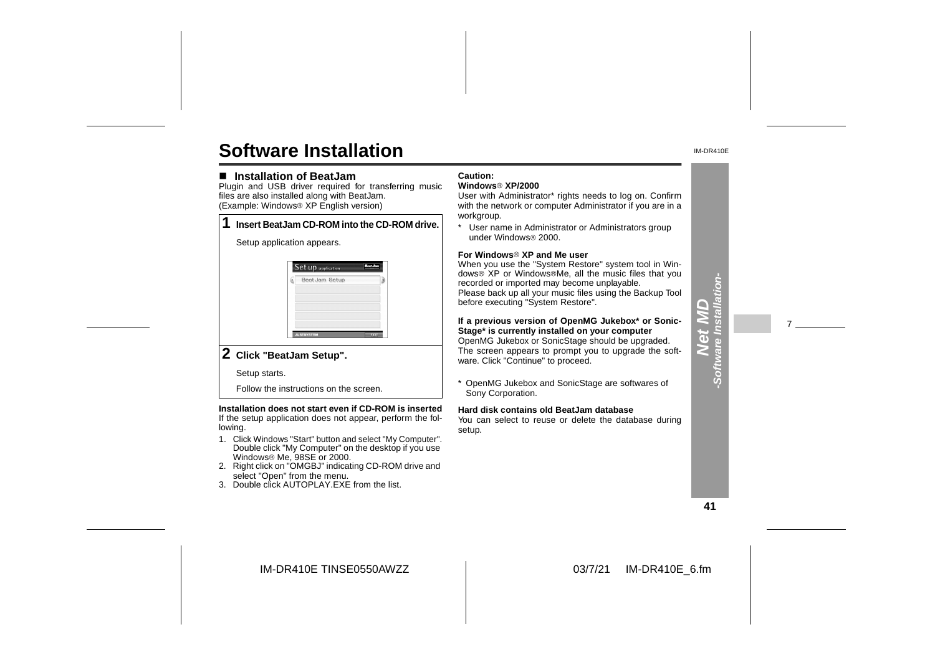# **Software Installation**

#### ■ Installation of BeatJam

 Plugin and USB driver required for transferring music files are also installed along with BeatJam. (Example: Windows<sup>®</sup> XP English version)

|  | Insert BeatJam CD-ROM into the CD-ROM drive.                                          |
|--|---------------------------------------------------------------------------------------|
|  | Setup application appears.                                                            |
|  | <b>Set up</b> application<br>Beat Jam Setup<br>Þ.<br><b>JUSTSYSTEM</b><br><b>DOLL</b> |
|  |                                                                                       |

## **2 Click "BeatJam Setup".**

Setup starts.

Follow the instructions on the screen.

**Installation does not start even if CD-ROM is inserted** If the setup application does not appear, perform the following.

- 1. Click Windows "Start" button and select "My Computer". Double click "My Computer" on the desktop if you use Windows<sup>®</sup> Me, 98SE or 2000.
- 2. Right click on "OMGBJ" indicating CD-ROM drive and select "Open" from the menu.
- 3. Double click AUTOPLAY.EXE from the list.

#### **Caution:**

### **Windows XP/2000**

 User with Administrator\* rights needs to log on. Confirm with the network or computer Administrator if you are in a workgroup.

\* User name in Administrator or Administrators group under Windows<sup>®</sup> 2000.

#### **For Windows XP and Me user**

 When you use the "System Restore" system tool in Windows<sup>®</sup> XP or Windows<sup>®</sup>Me, all the music files that you recorded or imported may become unplayable. Please back up all your music files using the Backup Tool before executing "System Restore".

**If a previous version of OpenMG Jukebox\* or Sonic-Stage\* is currently installed on your computer** OpenMG Jukebox or SonicStage should be upgraded. The screen appears to prompt you to upgrade the software. Click "Continue" to proceed.

\* OpenMG Jukebox and SonicStage are softwares of Sony Corporation.

#### **Hard disk contains old BeatJam database**

You can select to reuse or delete the database during setup.

**41**

 $\overline{d}$ **-Software Installation-**

 $\frac{1}{2}$ 

-Softw

7

IM-DR410E TINSE0550AWZZ

IM-DR410E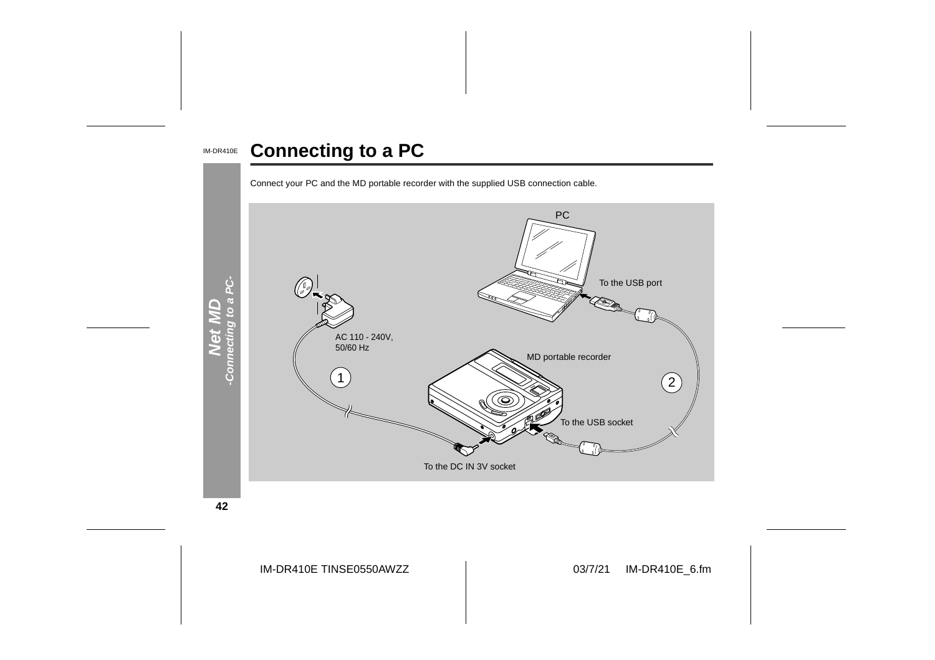#### IM-DR410E **Connecting to a PC**





**42**

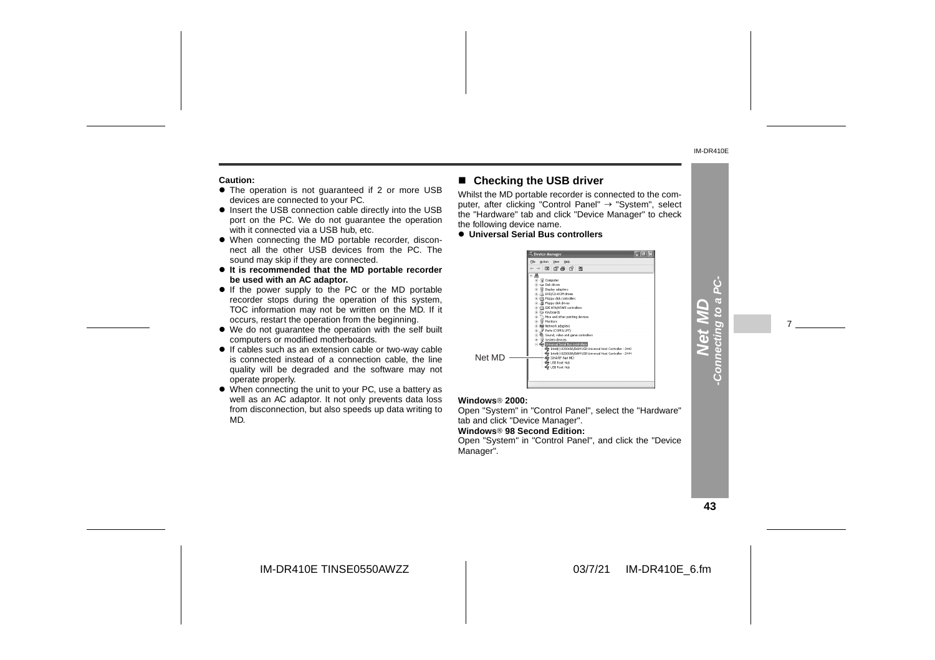#### **Caution:**

- $\bullet$  The operation is not guaranteed if 2 or more USB devices are connected to your PC.
- $\bullet$  Insert the USB connection cable directly into the USB port on the PC. We do not quarantee the operation with it connected via a USB hub, etc.
- When connecting the MD portable recorder, disconnect all the other USB devices from the PC. Thesound may skip if they are connected.
- **It is recommended that the MD portable recorder be used with an AC adaptor.**
- If the power supply to the PC or the MD portable recorder stops during the operation of this system, TOC information may not be written on the MD. If it occurs, restart the operation from the beginning.
- We do not guarantee the operation with the self built computers or modified motherboards.
- If cables such as an extension cable or two-way cable is connected instead of a connection cable, the line quality will be degraded and the software may not operate properly.
- When connecting the unit to your PC, use a battery as well as an AC adaptor. It not only prevents data loss from disconnection, but also speeds up data writing to MD.

#### ■ Checking the USB driver

Whilst the MD portable recorder is connected to the computer, after clicking "Control Panel"  $\rightarrow$  "System", select the "Hardware" tab and click "Device Manager" to check the following device name.

#### $\bullet$  **Universal Serial Bus controllers**



#### **Windows 2000:**

 Open "System" in "Control Panel", select the "Hardware" tab and click "Device Manager". **Windows 98 Second Edition:**Open "System" in "Control Panel", and click the "Device Manager".

**43**

**Net MD -Connecting to a PC-**

Conn

7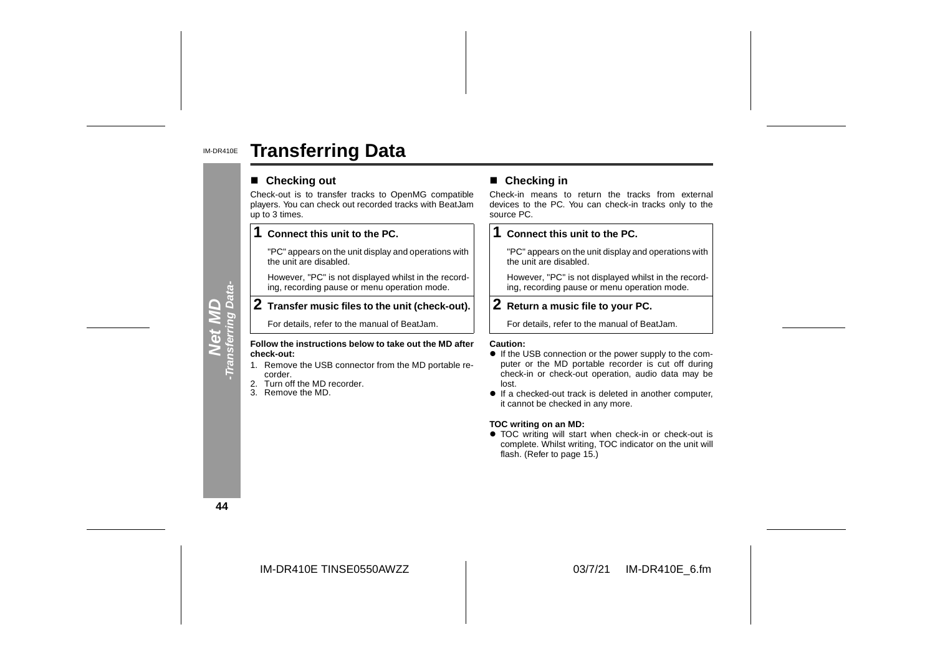#### IM-DR410E**Transferring Data**

#### ■ Checking out

Check-out is to transfer tracks to OpenMG compatible players. You can check out recorded tracks with BeatJam up to 3 times.

#### **1Connect this unit to the PC.**

"PC" appears on the unit display and operations with the unit are disabled.

However, "PC" is not displayed whilst in the recording, recording pause or menu operation mode.

## **2 Transfer music files to the unit (check-out).**

For details, refer to the manual of BeatJam.

#### **Follow the instructions below to take out the MD after check-out:**

- 1. Remove the USB connector from the MD portable recorder.
- 2. Turn off the MD recorder.
- 3. Remove the MD.

**Example 19 Checking in**<br>
It is to transfer tracks to OpenMG compatible<br>
Using the PC. You can check-in tracks only to the<br>
es.<br> **Example 2.**<br> **Example 2.**<br> **Example 2.**<br> **Example 2.**<br> **Example 2.**<br> **Example 2.**<br> **Example** 

## **1 Connect this unit to the PC.**

"PC" appears on the unit display and operations with the unit are disabled.

However, "PC" is not displayed whilst in the recording, recording pause or menu operation mode.

## **2 Return a music file to your PC.**

For details, refer to the manual of BeatJam.

- If the USB connection or the power supply to the com puter or the MD portable recorder is cut off during check-in or check-out operation, audio data may be lost.
- If a checked-out track is deleted in another computer, it cannot be checked in any more.

#### **TOC writing on an MD:**

• TOC writing will start when check-in or check-out is complete. Whilst writing, TOC indicator on the unit will flash. (Refer to page 15.)

**44**

**Net MD**<br>Transferring Data-**-Transferring Data-**

IM-DR410E TINSE0550AWZZ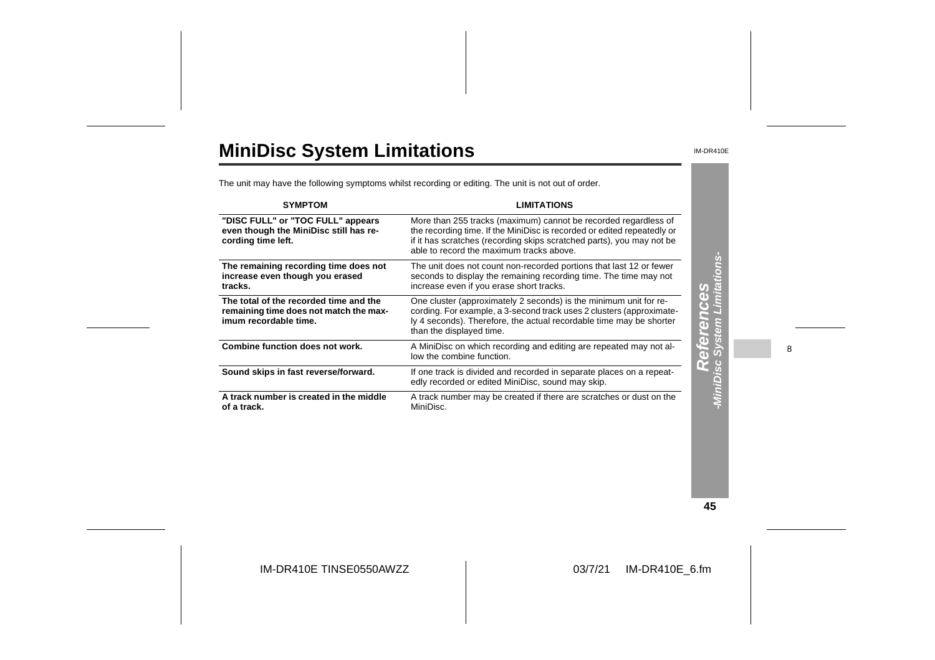# **MiniDisc System Limitations**

IM-DR410E

The unit may have the following symptoms whilst recording or editing. The unit is not out of order.

| <b>SYMPTOM</b>                                                                                            | <b>LIMITATIONS</b>                                                                                                                                                                                                                                              |                                                     |   |
|-----------------------------------------------------------------------------------------------------------|-----------------------------------------------------------------------------------------------------------------------------------------------------------------------------------------------------------------------------------------------------------------|-----------------------------------------------------|---|
| "DISC FULL" or "TOC FULL" appears<br>even though the MiniDisc still has re-<br>cording time left.         | More than 255 tracks (maximum) cannot be recorded regardless of<br>the recording time. If the MiniDisc is recorded or edited repeatedly or<br>if it has scratches (recording skips scratched parts), you may not be<br>able to record the maximum tracks above. |                                                     |   |
| The remaining recording time does not<br>increase even though you erased<br>tracks.                       | The unit does not count non-recorded portions that last 12 or fewer<br>seconds to display the remaining recording time. The time may not<br>increase even if you erase short tracks.                                                                            |                                                     |   |
| The total of the recorded time and the<br>remaining time does not match the max-<br>imum recordable time. | One cluster (approximately 2 seconds) is the minimum unit for re-<br>cording. For example, a 3-second track uses 2 clusters (approximate-<br>ly 4 seconds). Therefore, the actual recordable time may be shorter<br>than the displayed time.                    | nces<br>Limitatio<br>To)<br>$\overline{\textbf{d}}$ |   |
| Combine function does not work.                                                                           | A MiniDisc on which recording and editing are repeated may not al-<br>low the combine function.                                                                                                                                                                 | 6<br>$\left($ b                                     | 8 |
| Sound skips in fast reverse/forward.                                                                      | If one track is divided and recorded in separate places on a repeat-<br>edly recorded or edited MiniDisc, sound may skip.                                                                                                                                       |                                                     |   |
| A track number is created in the middle<br>of a track.                                                    | A track number may be created if there are scratches or dust on the<br>MiniDisc.                                                                                                                                                                                |                                                     |   |

**45**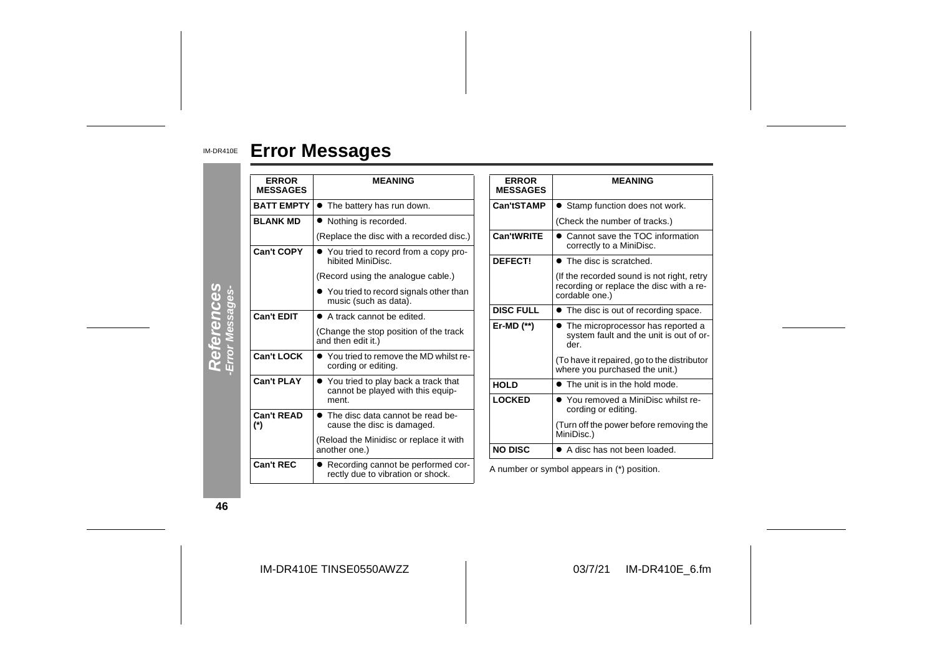#### IM-DR410E **Error Messages**

| <b>ERROR</b><br><b>MESSAGES</b>                                                        | <b>MEANING</b>                                                             | <b>ERROR</b><br><b>MESSAGES</b> | <b>MEANING</b>                                                                         |  |
|----------------------------------------------------------------------------------------|----------------------------------------------------------------------------|---------------------------------|----------------------------------------------------------------------------------------|--|
| <b>BATT EMPTY</b>                                                                      | • The battery has run down.                                                | Can'tSTAMP                      | • Stamp function does not work.                                                        |  |
| <b>BLANK MD</b>                                                                        | • Nothing is recorded.                                                     |                                 | (Check the number of tracks.)                                                          |  |
|                                                                                        | (Replace the disc with a recorded disc.)                                   | Can'tWRITE                      | • Cannot save the TOC information<br>correctly to a MiniDisc.                          |  |
| <b>Can't COPY</b>                                                                      | • You tried to record from a copy pro-<br>hibited MiniDisc.                | DEFECT!                         | • The disc is scratched.                                                               |  |
|                                                                                        | (Record using the analogue cable.)                                         |                                 | (If the recorded sound is not right, retry                                             |  |
|                                                                                        | • You tried to record signals other than<br>music (such as data).          |                                 | recording or replace the disc with a re-<br>cordable one.)                             |  |
| <b>Can't EDIT</b>                                                                      | <b>DISC FULL</b><br>• A track cannot be edited.                            |                                 | • The disc is out of recording space.                                                  |  |
|                                                                                        | (Change the stop position of the track<br>and then edit it.)               | Er-MD $(*)$                     | • The microprocessor has reported a<br>system fault and the unit is out of or-<br>der. |  |
| <b>Can't LOCK</b>                                                                      | • You tried to remove the MD whilst re-<br>cording or editing.             |                                 | (To have it repaired, go to the distributor<br>where you purchased the unit.)          |  |
| <b>Can't PLAY</b>                                                                      | • You tried to play back a track that<br>cannot be played with this equip- | <b>HOLD</b>                     | • The unit is in the hold mode.                                                        |  |
|                                                                                        | ment.                                                                      | <b>LOCKED</b>                   | • You removed a MiniDisc whilst re-<br>cording or editing.                             |  |
| <b>Can't READ</b><br>$(*)$                                                             | • The disc data cannot be read be-<br>cause the disc is damaged.           |                                 | (Turn off the power before removing the<br>MiniDisc.)                                  |  |
|                                                                                        | (Reload the Minidisc or replace it with<br>another one.)                   | <b>NO DISC</b>                  | • A disc has not been loaded.                                                          |  |
| Can't REC<br>• Recording cannot be performed cor-<br>rectly due to vibration or shock. |                                                                            |                                 | A number or symbol appears in (*) position.                                            |  |

**46**

IM-DR410E TINSE0550AWZZ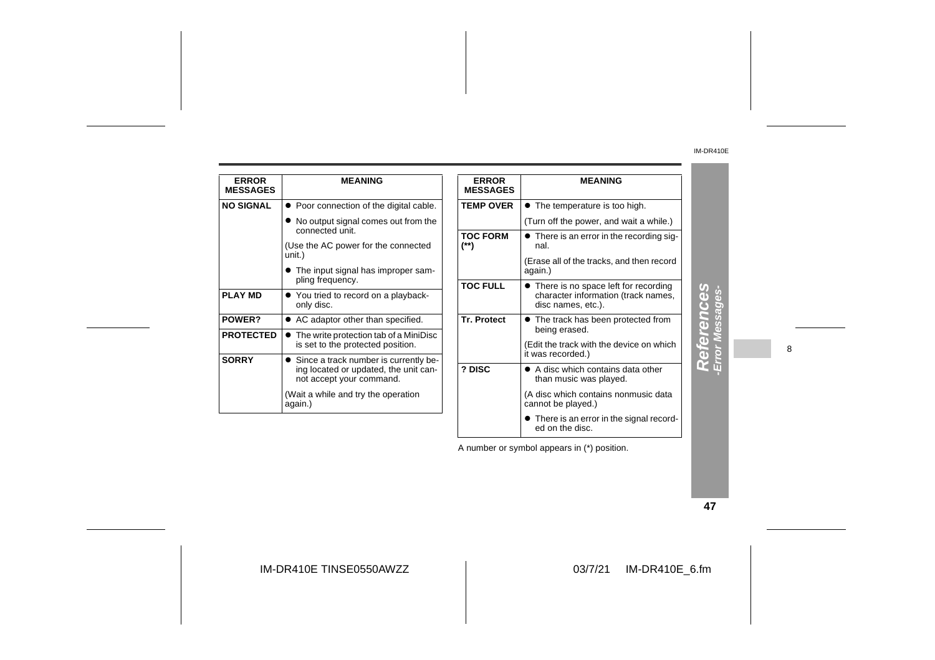| <b>ERROR</b><br><b>MESSAGES</b> | <b>MEANING</b>                                                                                               | <b>ERROR</b><br><b>MESSAGES</b> | <b>MEANING</b>                                                                                      |
|---------------------------------|--------------------------------------------------------------------------------------------------------------|---------------------------------|-----------------------------------------------------------------------------------------------------|
| <b>NO SIGNAL</b>                | • Poor connection of the digital cable.                                                                      | <b>TEMP OVER</b>                | • The temperature is too high.                                                                      |
|                                 | • No output signal comes out from the<br>connected unit.                                                     |                                 | (Turn off the power, and wait a while.)                                                             |
|                                 | (Use the AC power for the connected                                                                          | <b>TOC FORM</b><br>(**)         | • There is an error in the recording sig-<br>nal.                                                   |
|                                 | unit.)<br>• The input signal has improper sam-                                                               |                                 | (Erase all of the tracks, and then record<br>again.)                                                |
| <b>PLAY MD</b>                  | pling frequency.<br>• You tried to record on a playback-<br>only disc.                                       | <b>TOC FULL</b>                 | • There is no space left for recording<br>character information (track names,<br>disc names, etc.). |
| POWER?                          | • AC adaptor other than specified.                                                                           | <b>Tr. Protect</b>              | • The track has been protected from                                                                 |
| <b>PROTECTED</b>                | • The write protection tab of a MiniDisc<br>is set to the protected position.                                |                                 | being erased.<br>(Edit the track with the device on which<br>it was recorded.)                      |
| <b>SORRY</b>                    | • Since a track number is currently be-<br>ing located or updated, the unit can-<br>not accept your command. | ? DISC                          | • A disc which contains data other<br>than music was played.                                        |
|                                 | (Wait a while and try the operation<br>again.)                                                               |                                 | (A disc which contains nonmusic data<br>cannot be played.)                                          |
|                                 |                                                                                                              |                                 | • There is an error in the signal record-                                                           |

| 4 |
|---|
|   |
|   |
|   |
|   |
|   |
|   |
|   |
|   |
|   |
|   |
|   |

8

A number or symbol appears in (\*) position.

ed on the disc.

**47**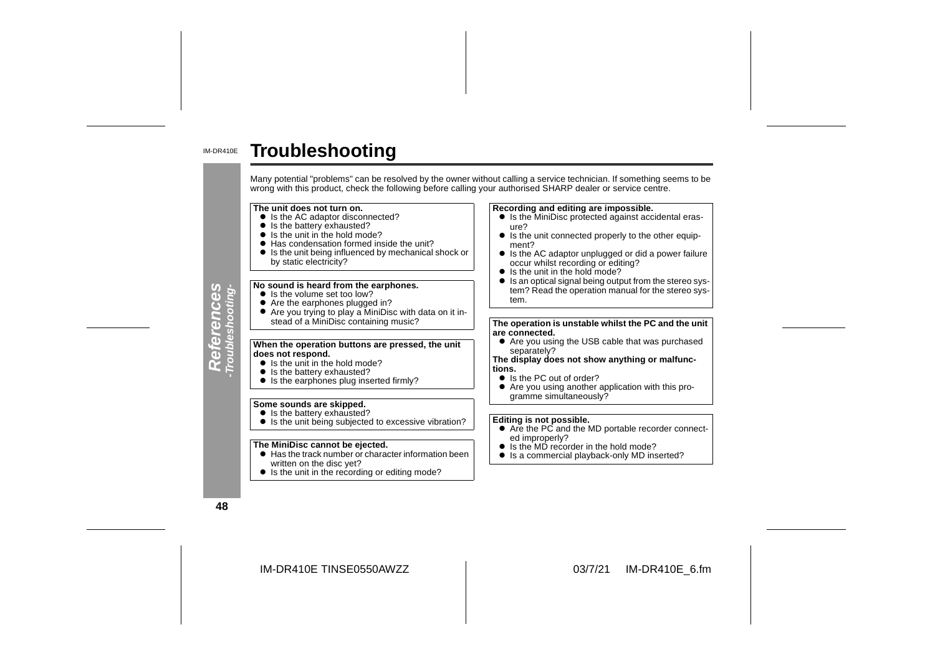#### IM-DR410E**Troubleshooting**

Many potential "problems" can be resolved by the owner without calling a service technician. If something seems to be wrong with this product, check the following before calling your authorised SHARP dealer or service cent **The unit does not turn on.Recording and editing are impossible.**  $\bullet$  Is the AC adaptor disconnected? ure?• Is the battery exhausted? • Is the unit in the hold mode? • Has condensation formed inside the unit? ment?" Is the unit being influenced by mechanical shock or by static electricity? occur whilst recording or editing? • Is the unit in the hold mode? References<br>Troubleshooting-**No sound is heard from the earphones.** • Is the volume set too low? tem.● Are the earphones plugged in?<br>● Are you trying to play a MiniDisc with data on it instead of a MiniDisc containing music? **are connected.**

# **When the operation buttons are pressed, the unit does not respond.**

- Is the unit in the hold mode?
- Is the battery exhausted?
- Is the earphones plug inserted firmly?

#### **Some sounds are skipped.**

- Is the battery exhausted?
- Is the unit being subjected to excessive vibration?

#### **The MiniDisc cannot be ejected.**

- $\bullet$  Has the track number or character information been written on the disc yet?
- Is the unit in the recording or editing mode?
- Is the MiniDisc protected against accidental eras-
- $\bullet$  Is the unit connected properly to the other equip-
- $\bullet$  Is the AC adaptor unplugged or did a power failure
- Is an optical signal being output from the stereo system? Read the operation manual for the stereo sys-

**The operation is unstable whilst the PC and the unit** 

 $\bullet$  Are you using the USB cable that was purchased separately?

#### **The display does not show anything or malfunctions.**

- $\bullet$  Is the PC out of order?
- Are you using another application with this programme simultaneously?

#### **Editing is not possible.**

- Are the PC and the MD portable recorder connected improperly?
- Is the MD recorder in the hold mode?
- Is a commercial playback-only MD inserted?

**48**

**References -Troubleshooting-**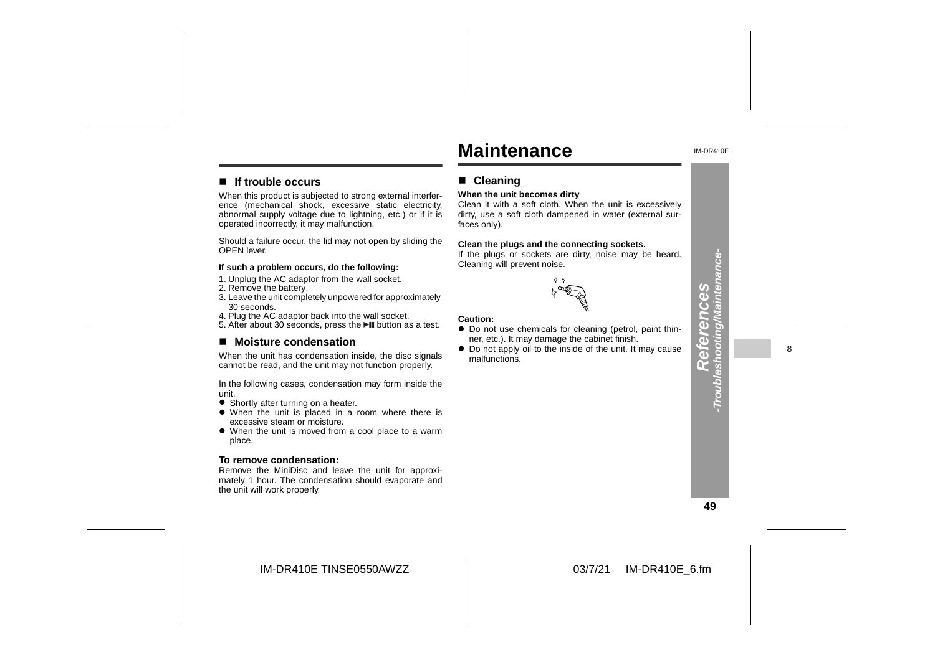# **Maintenance**

**When the unit becomes dirty**

Cleaning will prevent noise.

■ Cleaning

faces only).

IM-DR410E

#### ■ If trouble occurs

When this product is subjected to strong external interference (mechanical shock, excessive static electricity, abnormal supply voltage due to lightning, etc.) or if it is operated incorrectly, it may malfunction.

Should a failure occur, the lid may not open by sliding the OPEN lever.

#### **If such a problem occurs, do the following:**

- 1. Unplug the AC adaptor from the wall socket.
- 2. Remove the battery.
- 3. Leave the unit completely unpowered for approximately 30 seconds.
- 4. Plug the AC adaptor back into the wall socket.
- 5. After about 30 seconds, press the ►II button as a test.

#### ■ Moisture condensation

When the unit has condensation inside, the disc signals cannot be read, and the unit may not function properly.

In the following cases, condensation may form inside the unit.

- **•** Shortly after turning on a heater.
- When the unit is placed in a room where there is excessive steam or moisture.
- When the unit is moved from a cool place to a warm place.

#### **To remove condensation:**

 Remove the MiniDisc and leave the unit for approximately 1 hour. The condensation should evaporate and the unit will work properly.

# $\diamond$   $\diamond$

Clean it with a soft cloth. When the unit is excessively dirty, use a soft cloth dampened in water (external sur-

**Clean the plugs and the connecting sockets.** If the plugs or sockets are dirty, noise may be heard.

#### **Caution:**

- Do not use chemicals for cleaning (petrol, paint thinner, etc.). It may damage the cabinet finish.
- Do not apply oil to the inside of the unit. It may cause malfunctions.

**49**

IM-DR410E TINSE0550AWZZ



8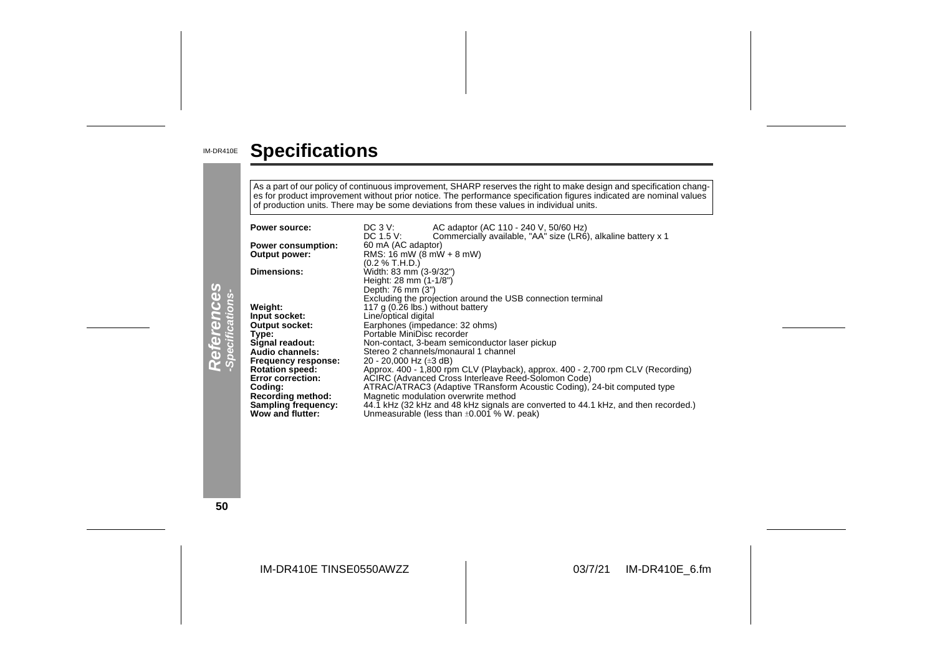#### IM-DR410E **Specifications**

As a part of our policy of continuous improvement, SHARP reserves the right to make design and specification chang es for product improvement without prior notice. The performance specification figures indicated are nominal values<br>of production units. There may be some deviations from these values in individual units.

|                                | Power source:<br><b>Power consumption:</b><br><b>Output power:</b><br><b>Dimensions:</b>                                                                                                                                                                               | $DC_3V$ :<br>AC adaptor (AC 110 - 240 V, 50/60 Hz)<br>Commercially available, "AA" size (LR6), alkaline battery x 1<br>DC 1.5 V:<br>60 mA (AC adaptor)<br>RMS: 16 mW ( $8$ mW + 8 mW)<br>(0.2 % T.H.D.)<br>Width: 83 mm (3-9/32")                                                                                                                                                                                                                                                                                                                                                                                                                                                                                                                                      |
|--------------------------------|------------------------------------------------------------------------------------------------------------------------------------------------------------------------------------------------------------------------------------------------------------------------|------------------------------------------------------------------------------------------------------------------------------------------------------------------------------------------------------------------------------------------------------------------------------------------------------------------------------------------------------------------------------------------------------------------------------------------------------------------------------------------------------------------------------------------------------------------------------------------------------------------------------------------------------------------------------------------------------------------------------------------------------------------------|
| References<br>-Specifications- | Weight:<br>Input socket:<br><b>Output socket:</b><br>Type:<br>Signal readout:<br>Audio channels:<br><b>Frequency response:</b><br><b>Rotation speed:</b><br><b>Error correction:</b><br>Coding:<br>Recording method:<br><b>Sampling frequency:</b><br>Wow and flutter: | Height: 28 mm (1-1/8")<br>Depth: 76 mm (3")<br>Excluding the projection around the USB connection terminal<br>117 g (0.26 lbs.) without battery<br>Line/optical digital<br>Earphones (impedance: 32 ohms)<br>Portable MiniDisc recorder<br>Non-contact, 3-beam semiconductor laser pickup<br>Stereo 2 channels/monaural 1 channel<br>20 - 20,000 Hz ( $\pm 3$ dB)<br>Approx. 400 - 1,800 rpm CLV (Playback), approx. 400 - 2,700 rpm CLV (Recording)<br>ACIRC (Advanced Cross Interleave Reed-Solomon Code)<br>ATRAC/ATRAC3 (Adaptive TRansform Acoustic Coding), 24-bit computed type<br>Magnetic modulation overwrite method<br>44.1 kHz (32 kHz and 48 kHz signals are converted to 44.1 kHz, and then recorded.)<br>Unmeasurable (less than $\pm 0.001$ % W. peak) |

**50**

IM-DR410E TINSE0550AWZZ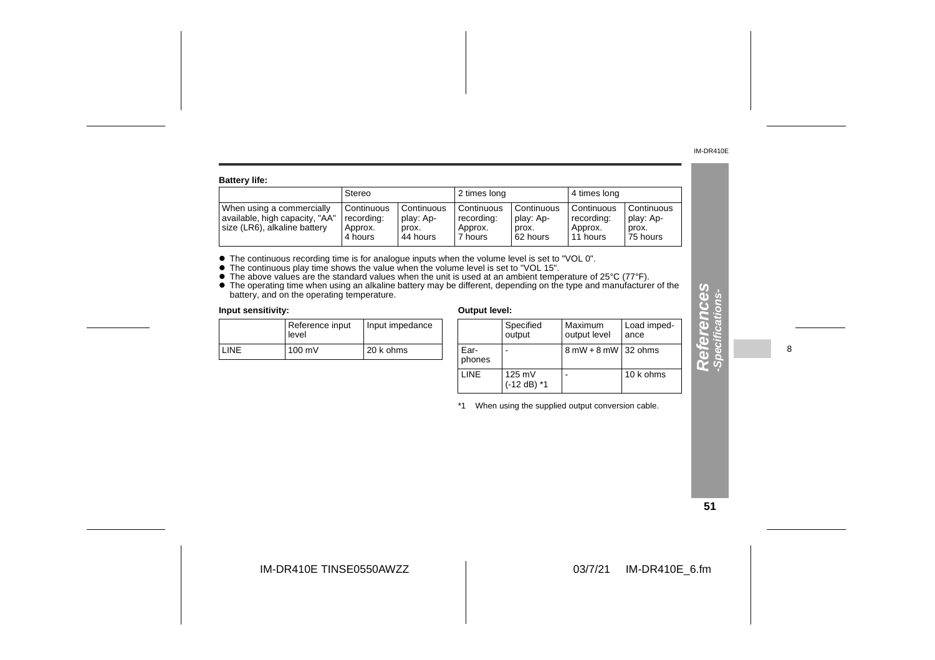**References -Specifications-**

M

eferences

ons-

| <b>Battery life:</b>                                                                        |                                                |                                              |                                                |                                              |                                                   |                                              |  |
|---------------------------------------------------------------------------------------------|------------------------------------------------|----------------------------------------------|------------------------------------------------|----------------------------------------------|---------------------------------------------------|----------------------------------------------|--|
|                                                                                             | Stereo                                         |                                              | 2 times long                                   |                                              | 4 times long                                      |                                              |  |
| When using a commercially<br>available, high capacity, "AA"<br>size (LR6), alkaline battery | Continuous<br>recording:<br>Approx.<br>4 hours | Continuous<br>play: Ap-<br>prox.<br>44 hours | Continuous<br>recording:<br>Approx.<br>7 hours | Continuous<br>play: Ap-<br>prox.<br>62 hours | i Continuous<br>recording:<br>Approx.<br>11 hours | Continuous<br>play: Ap-<br>prox.<br>75 hours |  |

• The continuous recording time is for analogue inputs when the volume level is set to "VOL 0".<br>
• The continuous play time shows the value when the volume level is set to "VOL 15".<br>
• The above values are the standard va

|             | Reference input<br>Input impedance<br>level |           |
|-------------|---------------------------------------------|-----------|
| <b>LINE</b> | $100 \text{ mV}$                            | 20 k ohms |

| edance |                | Specified<br>output     | Maximum<br>output level               | Load imped-<br>ance |
|--------|----------------|-------------------------|---------------------------------------|---------------------|
| S      | Ear-<br>phones |                         | $8 \text{ mW} + 8 \text{ mW}$ 32 ohms |                     |
|        | LINE           | 125 mV<br>$(-12 dB)$ *1 |                                       | 10 k ohms           |

\*1 When using the supplied output conversion cable.

8

#### **51**